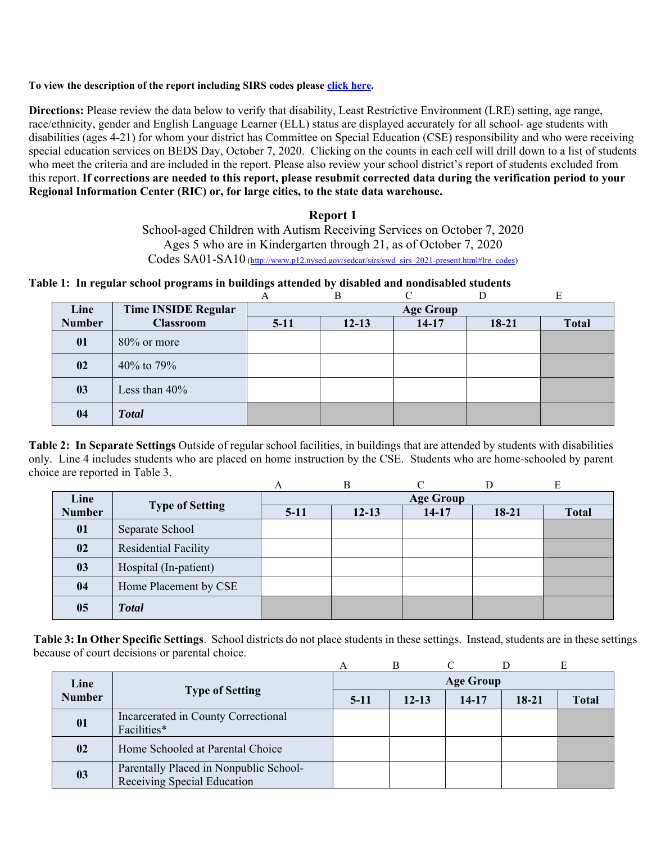#### **To view the description of the report including SIRS codes please click here.**

**Directions:** Please review the data below to verify that disability, Least Restrictive Environment (LRE) setting, age range, race/ethnicity, gender and English Language Learner (ELL) status are displayed accurately for all school- age students with disabilities (ages 4-21) for whom your district has Committee on Special Education (CSE) responsibility and who were receiving special education services on BEDS Day, October 7, 2020. Clicking on the counts in each cell will drill down to a list of students who meet the criteria and are included in the report. Please also review your school district's report of students excluded from this report. **If corrections are needed to this report, please resubmit corrected data during the verification period to your Regional Information Center (RIC) or, for large cities, to the state data warehouse.**

### **Report 1**

School-aged Children with Autism Receiving Services on October 7, 2020 Ages 5 who are in Kindergarten through 21, as of October 7, 2020 Codes SA01-SA10 (http://www.p12.nysed.gov/sedcar/sirs/swd\_sirs\_2021-present.html#lre\_codes)

**Table 1: In regular school programs in buildings attended by disabled and nondisabled students** 

|               |                            | A      |           |                  |         | E            |
|---------------|----------------------------|--------|-----------|------------------|---------|--------------|
| Line          | <b>Time INSIDE Regular</b> |        |           | <b>Age Group</b> |         |              |
| <b>Number</b> | <b>Classroom</b>           | $5-11$ | $12 - 13$ | $14-17$          | $18-21$ | <b>Total</b> |
| 01            | $80\%$ or more             |        |           |                  |         |              |
| 02            | 40% to 79%                 |        |           |                  |         |              |
| 03            | Less than $40\%$           |        |           |                  |         |              |
| 04            | <b>Total</b>               |        |           |                  |         |              |

**Table 2: In Separate Settings** Outside of regular school facilities, in buildings that are attended by students with disabilities only. Line 4 includes students who are placed on home instruction by the CSE. Students who are home-schooled by parent choice are reported in Table 3.

|               |                        |        | B         |                  |         | E            |
|---------------|------------------------|--------|-----------|------------------|---------|--------------|
| Line          |                        |        |           | <b>Age Group</b> |         |              |
| <b>Number</b> | <b>Type of Setting</b> | $5-11$ | $12 - 13$ | 14-17            | $18-21$ | <b>Total</b> |
| 01            | Separate School        |        |           |                  |         |              |
| 02            | Residential Facility   |        |           |                  |         |              |
| 03            | Hospital (In-patient)  |        |           |                  |         |              |
| 04            | Home Placement by CSE  |        |           |                  |         |              |
| 05            | <b>Total</b>           |        |           |                  |         |              |

**Table 3: In Other Specific Settings**. School districts do not place students in these settings. Instead, students are in these settings because of court decisions or parental choice.

| Line          |                                                                       | <b>Age Group</b> |           |       |       |              |  |  |
|---------------|-----------------------------------------------------------------------|------------------|-----------|-------|-------|--------------|--|--|
| <b>Number</b> | <b>Type of Setting</b>                                                | $5-11$           | $12 - 13$ | 14-17 | 18-21 | <b>Total</b> |  |  |
| 01            | Incarcerated in County Correctional<br>Facilities*                    |                  |           |       |       |              |  |  |
| 02            | Home Schooled at Parental Choice                                      |                  |           |       |       |              |  |  |
| 03            | Parentally Placed in Nonpublic School-<br>Receiving Special Education |                  |           |       |       |              |  |  |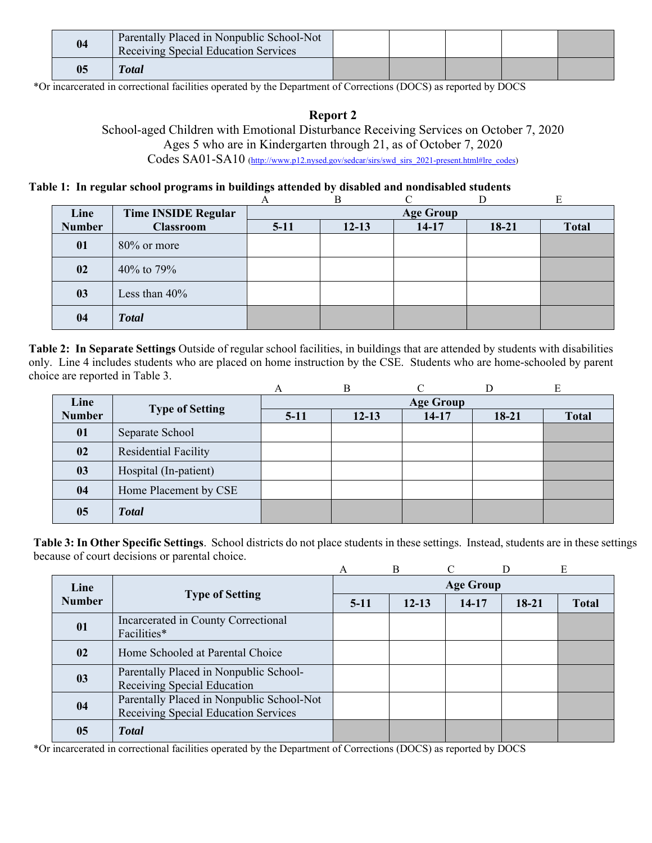| 04 | Parentally Placed in Nonpublic School-Not<br>Receiving Special Education Services |  |  |  |
|----|-----------------------------------------------------------------------------------|--|--|--|
| 05 | <b>T</b> otal                                                                     |  |  |  |

\*Or incarcerated in correctional facilities operated by the Department of Corrections (DOCS) as reported by DOCS

## **Report 2**

School-aged Children with Emotional Disturbance Receiving Services on October 7, 2020 Ages 5 who are in Kindergarten through 21, as of October 7, 2020 Codes SA01-SA10 (http://www.p12.nysed.gov/sedcar/sirs/swd\_sirs\_2021-present.html#lre\_codes)

## **Table 1: In regular school programs in buildings attended by disabled and nondisabled students**

| Line          | <b>Time INSIDE Regular</b> |        |           | <b>Age Group</b> |         |              |
|---------------|----------------------------|--------|-----------|------------------|---------|--------------|
| <b>Number</b> | <b>Classroom</b>           | $5-11$ | $12 - 13$ | $14 - 17$        | $18-21$ | <b>Total</b> |
| 01            | 80% or more                |        |           |                  |         |              |
| 02            | 40% to 79%                 |        |           |                  |         |              |
| 03            | Less than $40\%$           |        |           |                  |         |              |
| 04            | <b>Total</b>               |        |           |                  |         |              |

**Table 2: In Separate Settings** Outside of regular school facilities, in buildings that are attended by students with disabilities only. Line 4 includes students who are placed on home instruction by the CSE. Students who are home-schooled by parent choice are reported in Table 3.

|               |                        | A      |           |                  |         | Ε            |
|---------------|------------------------|--------|-----------|------------------|---------|--------------|
| Line          |                        |        |           | <b>Age Group</b> |         |              |
| <b>Number</b> | <b>Type of Setting</b> | $5-11$ | $12 - 13$ | $14-17$          | $18-21$ | <b>Total</b> |
| 01            | Separate School        |        |           |                  |         |              |
| 02            | Residential Facility   |        |           |                  |         |              |
| 03            | Hospital (In-patient)  |        |           |                  |         |              |
| 04            | Home Placement by CSE  |        |           |                  |         |              |
| 05            | <b>Total</b>           |        |           |                  |         |              |

**Table 3: In Other Specific Settings**. School districts do not place students in these settings. Instead, students are in these settings because of court decisions or parental choice.

|               |                                                                                   | A                | $\overline{B}$ |         |           | E            |  |  |
|---------------|-----------------------------------------------------------------------------------|------------------|----------------|---------|-----------|--------------|--|--|
| Line          | <b>Type of Setting</b>                                                            | <b>Age Group</b> |                |         |           |              |  |  |
| <b>Number</b> |                                                                                   | $5-11$           | $12 - 13$      | $14-17$ | $18 - 21$ | <b>Total</b> |  |  |
| 01            | Incarcerated in County Correctional<br>Facilities*                                |                  |                |         |           |              |  |  |
| 02            | Home Schooled at Parental Choice                                                  |                  |                |         |           |              |  |  |
| 03            | Parentally Placed in Nonpublic School-<br>Receiving Special Education             |                  |                |         |           |              |  |  |
| 04            | Parentally Placed in Nonpublic School-Not<br>Receiving Special Education Services |                  |                |         |           |              |  |  |
| 05            | <b>Total</b>                                                                      |                  |                |         |           |              |  |  |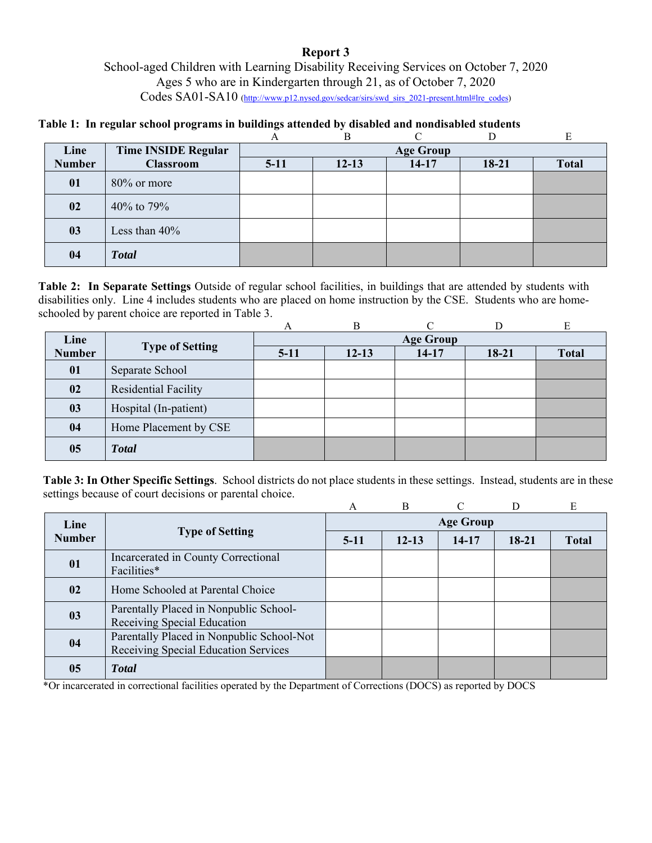## **Report 3**  School-aged Children with Learning Disability Receiving Services on October 7, 2020 Ages 5 who are in Kindergarten through 21, as of October 7, 2020 Codes SA01-SA10 (http://www.p12.nysed.gov/sedcar/sirs/swd\_sirs\_2021-present.html#lre\_codes)

**Table 1: In regular school programs in buildings attended by disabled and nondisabled students** 

|               |                            |        | B                |           |       | E            |  |  |  |
|---------------|----------------------------|--------|------------------|-----------|-------|--------------|--|--|--|
| Line          | <b>Time INSIDE Regular</b> |        | <b>Age Group</b> |           |       |              |  |  |  |
| <b>Number</b> | <b>Classroom</b>           | $5-11$ | $12 - 13$        | $14 - 17$ | 18-21 | <b>Total</b> |  |  |  |
| 01            | $80\%$ or more             |        |                  |           |       |              |  |  |  |
| 02            | 40% to 79%                 |        |                  |           |       |              |  |  |  |
| 03            | Less than $40\%$           |        |                  |           |       |              |  |  |  |
| 04            | <b>Total</b>               |        |                  |           |       |              |  |  |  |

**Table 2: In Separate Settings** Outside of regular school facilities, in buildings that are attended by students with disabilities only. Line 4 includes students who are placed on home instruction by the CSE. Students who are homeschooled by parent choice are reported in Table 3.

|               |                        | А      | В         | ⌒                |         | E            |
|---------------|------------------------|--------|-----------|------------------|---------|--------------|
| Line          | <b>Type of Setting</b> |        |           | <b>Age Group</b> |         |              |
| <b>Number</b> |                        | $5-11$ | $12 - 13$ | $14-17$          | $18-21$ | <b>Total</b> |
| 01            | Separate School        |        |           |                  |         |              |
| 02            | Residential Facility   |        |           |                  |         |              |
| 03            | Hospital (In-patient)  |        |           |                  |         |              |
| 04            | Home Placement by CSE  |        |           |                  |         |              |
| 05            | <b>Total</b>           |        |           |                  |         |              |

**Table 3: In Other Specific Settings**. School districts do not place students in these settings. Instead, students are in these settings because of court decisions or parental choice.

|               |                                                                                   | A                | B         |           |         | E            |  |  |
|---------------|-----------------------------------------------------------------------------------|------------------|-----------|-----------|---------|--------------|--|--|
| Line          |                                                                                   | <b>Age Group</b> |           |           |         |              |  |  |
| <b>Number</b> | <b>Type of Setting</b>                                                            | $5-11$           | $12 - 13$ | $14 - 17$ | $18-21$ | <b>Total</b> |  |  |
| 01            | Incarcerated in County Correctional<br>Facilities*                                |                  |           |           |         |              |  |  |
| $\bf{02}$     | Home Schooled at Parental Choice                                                  |                  |           |           |         |              |  |  |
| 03            | Parentally Placed in Nonpublic School-<br>Receiving Special Education             |                  |           |           |         |              |  |  |
| 04            | Parentally Placed in Nonpublic School-Not<br>Receiving Special Education Services |                  |           |           |         |              |  |  |
| 05            | <b>T</b> otal                                                                     |                  |           |           |         |              |  |  |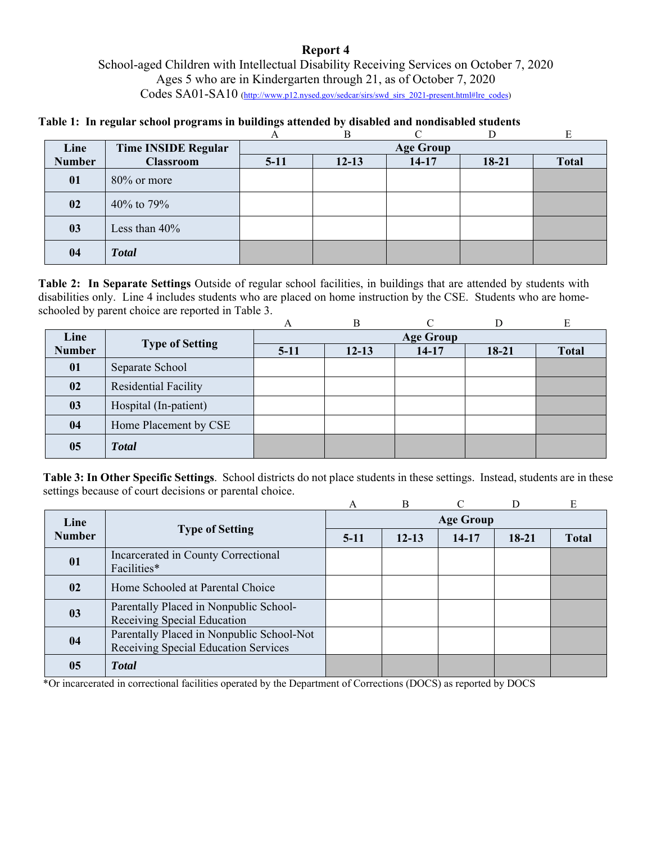## **Report 4**  School-aged Children with Intellectual Disability Receiving Services on October 7, 2020 Ages 5 who are in Kindergarten through 21, as of October 7, 2020 Codes SA01-SA10 (http://www.p12.nysed.gov/sedcar/sirs/swd\_sirs\_2021-present.html#lre\_codes)

|  |  | Table 1: In regular school programs in buildings attended by disabled and nondisabled students |
|--|--|------------------------------------------------------------------------------------------------|
|  |  |                                                                                                |

|               |                            | A      | B                |         | D       | E            |  |  |
|---------------|----------------------------|--------|------------------|---------|---------|--------------|--|--|
| Line          | <b>Time INSIDE Regular</b> |        | <b>Age Group</b> |         |         |              |  |  |
| <b>Number</b> | <b>Classroom</b>           | $5-11$ | $12 - 13$        | $14-17$ | $18-21$ | <b>Total</b> |  |  |
| 01            | $80\%$ or more             |        |                  |         |         |              |  |  |
| 02            | 40% to 79%                 |        |                  |         |         |              |  |  |
| 03            | Less than $40\%$           |        |                  |         |         |              |  |  |
| 04            | <b>Total</b>               |        |                  |         |         |              |  |  |

**Table 2: In Separate Settings** Outside of regular school facilities, in buildings that are attended by students with disabilities only. Line 4 includes students who are placed on home instruction by the CSE. Students who are homeschooled by parent choice are reported in Table 3.

|               |                        | А                | B         | ⌒         |         | E            |  |
|---------------|------------------------|------------------|-----------|-----------|---------|--------------|--|
| Line          |                        | <b>Age Group</b> |           |           |         |              |  |
| <b>Number</b> | <b>Type of Setting</b> | $5-11$           | $12 - 13$ | $14 - 17$ | $18-21$ | <b>Total</b> |  |
| 01            | Separate School        |                  |           |           |         |              |  |
| 02            | Residential Facility   |                  |           |           |         |              |  |
| 03            | Hospital (In-patient)  |                  |           |           |         |              |  |
| 04            | Home Placement by CSE  |                  |           |           |         |              |  |
| 05            | <b>Total</b>           |                  |           |           |         |              |  |

**Table 3: In Other Specific Settings**. School districts do not place students in these settings. Instead, students are in these settings because of court decisions or parental choice.

|               |                                                                                   | А                | <sub>B</sub> |         | D       | E            |  |  |
|---------------|-----------------------------------------------------------------------------------|------------------|--------------|---------|---------|--------------|--|--|
| Line          |                                                                                   | <b>Age Group</b> |              |         |         |              |  |  |
| <b>Number</b> | <b>Type of Setting</b>                                                            | $5-11$           | $12 - 13$    | $14-17$ | $18-21$ | <b>Total</b> |  |  |
| 01            | Incarcerated in County Correctional<br>Facilities*                                |                  |              |         |         |              |  |  |
| 02            | Home Schooled at Parental Choice                                                  |                  |              |         |         |              |  |  |
| 03            | Parentally Placed in Nonpublic School-<br>Receiving Special Education             |                  |              |         |         |              |  |  |
| 04            | Parentally Placed in Nonpublic School-Not<br>Receiving Special Education Services |                  |              |         |         |              |  |  |
| 05            | <b>T</b> otal                                                                     |                  |              |         |         |              |  |  |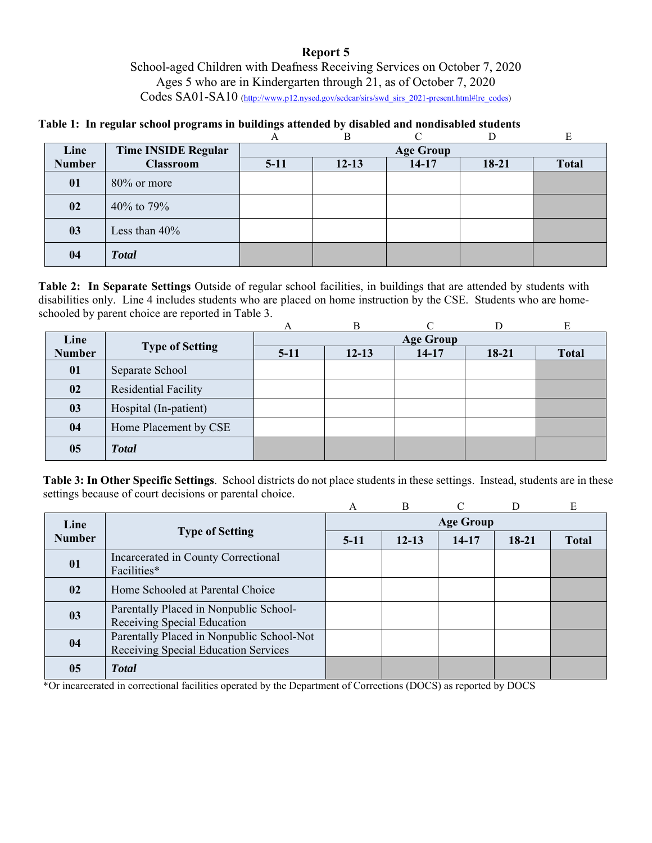## **Report 5**  School-aged Children with Deafness Receiving Services on October 7, 2020 Ages 5 who are in Kindergarten through 21, as of October 7, 2020 Codes SA01-SA10 (http://www.p12.nysed.gov/sedcar/sirs/swd\_sirs\_2021-present.html#lre\_codes)

## **Table 1: In regular school programs in buildings attended by disabled and nondisabled students**

|               |                     |        | B         |                  |       | E            |
|---------------|---------------------|--------|-----------|------------------|-------|--------------|
| Line          | Time INSIDE Regular |        |           | <b>Age Group</b> |       |              |
| <b>Number</b> | <b>Classroom</b>    | $5-11$ | $12 - 13$ | $14 - 17$        | 18-21 | <b>Total</b> |
| 01            | $80\%$ or more      |        |           |                  |       |              |
| 02            | 40% to 79%          |        |           |                  |       |              |
| 03            | Less than $40\%$    |        |           |                  |       |              |
| 04            | <b>Total</b>        |        |           |                  |       |              |

**Table 2: In Separate Settings** Outside of regular school facilities, in buildings that are attended by students with disabilities only. Line 4 includes students who are placed on home instruction by the CSE. Students who are homeschooled by parent choice are reported in Table 3.

|               |                        | А                | В         | ⌒       |         | E            |  |
|---------------|------------------------|------------------|-----------|---------|---------|--------------|--|
| Line          | <b>Type of Setting</b> | <b>Age Group</b> |           |         |         |              |  |
| <b>Number</b> |                        | $5-11$           | $12 - 13$ | $14-17$ | $18-21$ | <b>Total</b> |  |
| 01            | Separate School        |                  |           |         |         |              |  |
| 02            | Residential Facility   |                  |           |         |         |              |  |
| 03            | Hospital (In-patient)  |                  |           |         |         |              |  |
| 04            | Home Placement by CSE  |                  |           |         |         |              |  |
| 05            | <b>Total</b>           |                  |           |         |         |              |  |

**Table 3: In Other Specific Settings**. School districts do not place students in these settings. Instead, students are in these settings because of court decisions or parental choice.

|               |                                                                                   | A                | B         |           | D         | E            |  |
|---------------|-----------------------------------------------------------------------------------|------------------|-----------|-----------|-----------|--------------|--|
| Line          |                                                                                   | <b>Age Group</b> |           |           |           |              |  |
| <b>Number</b> | <b>Type of Setting</b>                                                            | $5-11$           | $12 - 13$ | $14 - 17$ | $18 - 21$ | <b>Total</b> |  |
| 01            | Incarcerated in County Correctional<br>Facilities*                                |                  |           |           |           |              |  |
| $\bf{02}$     | Home Schooled at Parental Choice                                                  |                  |           |           |           |              |  |
| 03            | Parentally Placed in Nonpublic School-<br>Receiving Special Education             |                  |           |           |           |              |  |
| 04            | Parentally Placed in Nonpublic School-Not<br>Receiving Special Education Services |                  |           |           |           |              |  |
| 05            | <b>T</b> otal                                                                     |                  |           |           |           |              |  |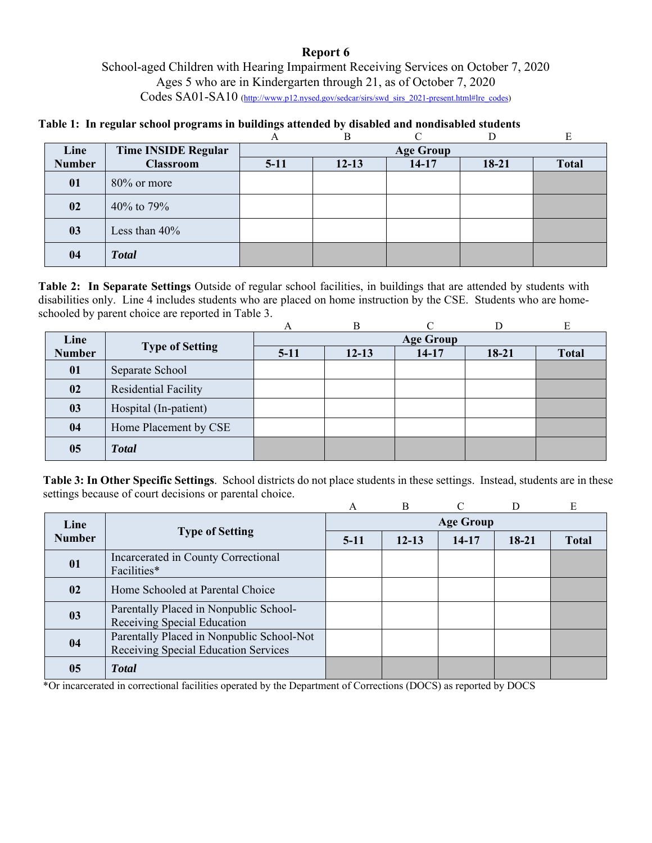## **Report 6**  School-aged Children with Hearing Impairment Receiving Services on October 7, 2020 Ages 5 who are in Kindergarten through 21, as of October 7, 2020 Codes SA01-SA10 (http://www.p12.nysed.gov/sedcar/sirs/swd\_sirs\_2021-present.html#lre\_codes)

**Table 1: In regular school programs in buildings attended by disabled and nondisabled students** 

|               |                            |        | B         |                  |         | E            |
|---------------|----------------------------|--------|-----------|------------------|---------|--------------|
| Line          | <b>Time INSIDE Regular</b> |        |           | <b>Age Group</b> |         |              |
| <b>Number</b> | <b>Classroom</b>           | $5-11$ | $12 - 13$ | $14 - 17$        | $18-21$ | <b>Total</b> |
| 01            | $80\%$ or more             |        |           |                  |         |              |
| 02            | 40% to 79%                 |        |           |                  |         |              |
| 03            | Less than $40\%$           |        |           |                  |         |              |
| 04            | <b>Total</b>               |        |           |                  |         |              |

**Table 2: In Separate Settings** Outside of regular school facilities, in buildings that are attended by students with disabilities only. Line 4 includes students who are placed on home instruction by the CSE. Students who are homeschooled by parent choice are reported in Table 3.

|               |                        | А                | В         | ⌒       |         | E            |  |
|---------------|------------------------|------------------|-----------|---------|---------|--------------|--|
| Line          | <b>Type of Setting</b> | <b>Age Group</b> |           |         |         |              |  |
| <b>Number</b> |                        | $5-11$           | $12 - 13$ | $14-17$ | $18-21$ | <b>Total</b> |  |
| 01            | Separate School        |                  |           |         |         |              |  |
| 02            | Residential Facility   |                  |           |         |         |              |  |
| 03            | Hospital (In-patient)  |                  |           |         |         |              |  |
| 04            | Home Placement by CSE  |                  |           |         |         |              |  |
| 05            | <b>Total</b>           |                  |           |         |         |              |  |

**Table 3: In Other Specific Settings**. School districts do not place students in these settings. Instead, students are in these settings because of court decisions or parental choice.

|               |                                                                                   | A                | R         |           |         | E            |  |  |
|---------------|-----------------------------------------------------------------------------------|------------------|-----------|-----------|---------|--------------|--|--|
| Line          |                                                                                   | <b>Age Group</b> |           |           |         |              |  |  |
| <b>Number</b> | <b>Type of Setting</b>                                                            | $5-11$           | $12 - 13$ | $14 - 17$ | $18-21$ | <b>Total</b> |  |  |
| 01            | Incarcerated in County Correctional<br>Facilities*                                |                  |           |           |         |              |  |  |
| $\bf{02}$     | Home Schooled at Parental Choice                                                  |                  |           |           |         |              |  |  |
| 03            | Parentally Placed in Nonpublic School-<br>Receiving Special Education             |                  |           |           |         |              |  |  |
| 04            | Parentally Placed in Nonpublic School-Not<br>Receiving Special Education Services |                  |           |           |         |              |  |  |
| 05            | <b>Total</b>                                                                      |                  |           |           |         |              |  |  |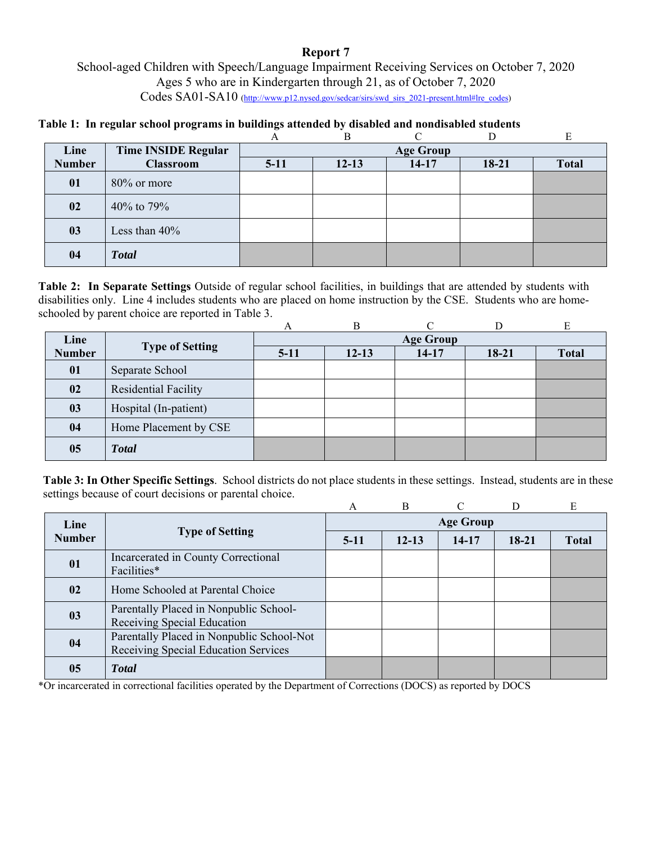## **Report 7**  School-aged Children with Speech/Language Impairment Receiving Services on October 7, 2020 Ages 5 who are in Kindergarten through 21, as of October 7, 2020 Codes SA01-SA10 (http://www.p12.nysed.gov/sedcar/sirs/swd\_sirs\_2021-present.html#lre\_codes)

**Table 1: In regular school programs in buildings attended by disabled and nondisabled students** 

|               |                            |        | B         |                  |         | E            |
|---------------|----------------------------|--------|-----------|------------------|---------|--------------|
| Line          | <b>Time INSIDE Regular</b> |        |           | <b>Age Group</b> |         |              |
| <b>Number</b> | <b>Classroom</b>           | $5-11$ | $12 - 13$ | $14 - 17$        | $18-21$ | <b>Total</b> |
| 01            | $80\%$ or more             |        |           |                  |         |              |
| 02            | 40% to 79%                 |        |           |                  |         |              |
| 03            | Less than $40\%$           |        |           |                  |         |              |
| 04            | <b>Total</b>               |        |           |                  |         |              |

**Table 2: In Separate Settings** Outside of regular school facilities, in buildings that are attended by students with disabilities only. Line 4 includes students who are placed on home instruction by the CSE. Students who are homeschooled by parent choice are reported in Table 3.

|               |                        | А                | В         | ⌒       |         | E            |  |
|---------------|------------------------|------------------|-----------|---------|---------|--------------|--|
| Line          | <b>Type of Setting</b> | <b>Age Group</b> |           |         |         |              |  |
| <b>Number</b> |                        | $5-11$           | $12 - 13$ | $14-17$ | $18-21$ | <b>Total</b> |  |
| 01            | Separate School        |                  |           |         |         |              |  |
| 02            | Residential Facility   |                  |           |         |         |              |  |
| 03            | Hospital (In-patient)  |                  |           |         |         |              |  |
| 04            | Home Placement by CSE  |                  |           |         |         |              |  |
| 05            | <b>Total</b>           |                  |           |         |         |              |  |

**Table 3: In Other Specific Settings**. School districts do not place students in these settings. Instead, students are in these settings because of court decisions or parental choice.

|               |                                                                                   | A                | B         |           | D       | E            |  |  |
|---------------|-----------------------------------------------------------------------------------|------------------|-----------|-----------|---------|--------------|--|--|
| Line          |                                                                                   | <b>Age Group</b> |           |           |         |              |  |  |
| <b>Number</b> | <b>Type of Setting</b>                                                            | $5-11$           | $12 - 13$ | $14 - 17$ | $18-21$ | <b>Total</b> |  |  |
| 01            | Incarcerated in County Correctional<br>Facilities*                                |                  |           |           |         |              |  |  |
| 02            | Home Schooled at Parental Choice                                                  |                  |           |           |         |              |  |  |
| 03            | Parentally Placed in Nonpublic School-<br>Receiving Special Education             |                  |           |           |         |              |  |  |
| 04            | Parentally Placed in Nonpublic School-Not<br>Receiving Special Education Services |                  |           |           |         |              |  |  |
| 05            | <b>T</b> otal                                                                     |                  |           |           |         |              |  |  |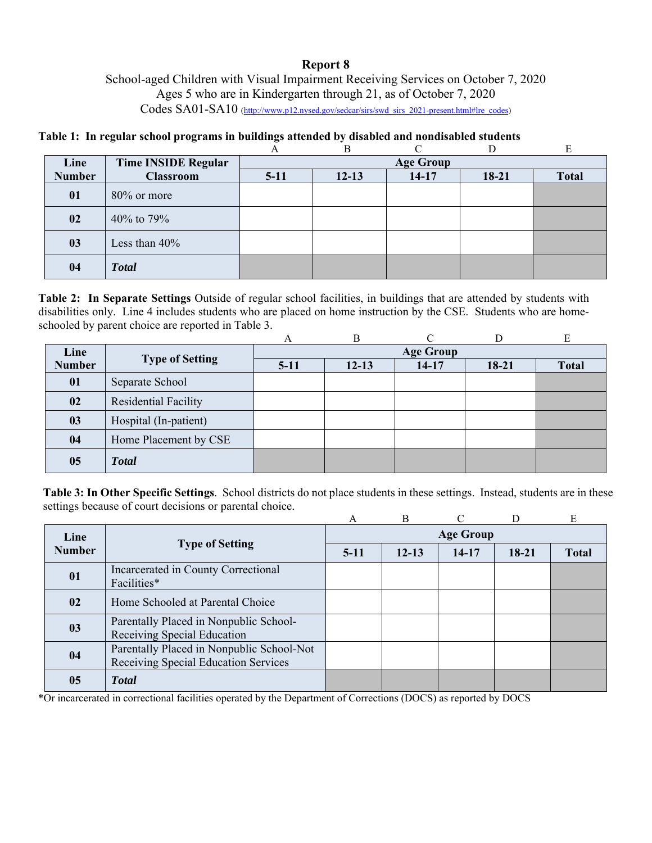# **Report 8**

School-aged Children with Visual Impairment Receiving Services on October 7, 2020 Ages 5 who are in Kindergarten through 21, as of October 7, 2020 Codes SA01-SA10 (http://www.p12.nysed.gov/sedcar/sirs/swd\_sirs\_2021-present.html#lre\_codes)

# **Table 1: In regular school programs in buildings attended by disabled and nondisabled students**

|               |                            |        | B                |           | D     | E            |  |  |
|---------------|----------------------------|--------|------------------|-----------|-------|--------------|--|--|
| Line          | <b>Time INSIDE Regular</b> |        | <b>Age Group</b> |           |       |              |  |  |
| <b>Number</b> | <b>Classroom</b>           | $5-11$ | $12 - 13$        | $14 - 17$ | 18-21 | <b>Total</b> |  |  |
| 01            | 80% or more                |        |                  |           |       |              |  |  |
| 02            | 40% to 79%                 |        |                  |           |       |              |  |  |
| 03            | Less than $40\%$           |        |                  |           |       |              |  |  |
| 04            | <b>Total</b>               |        |                  |           |       |              |  |  |

**Table 2: In Separate Settings** Outside of regular school facilities, in buildings that are attended by students with disabilities only. Line 4 includes students who are placed on home instruction by the CSE. Students who are homeschooled by parent choice are reported in Table 3.

|               |                        | A                |           |         |       |              |  |
|---------------|------------------------|------------------|-----------|---------|-------|--------------|--|
| Line          |                        | <b>Age Group</b> |           |         |       |              |  |
| <b>Number</b> | <b>Type of Setting</b> | $5-11$           | $12 - 13$ | $14-17$ | 18-21 | <b>Total</b> |  |
| 01            | Separate School        |                  |           |         |       |              |  |
| 02            | Residential Facility   |                  |           |         |       |              |  |
| 03            | Hospital (In-patient)  |                  |           |         |       |              |  |
| 04            | Home Placement by CSE  |                  |           |         |       |              |  |
| 05            | <b>Total</b>           |                  |           |         |       |              |  |

**Table 3: In Other Specific Settings**. School districts do not place students in these settings. Instead, students are in these settings because of court decisions or parental choice.

|               |                                                                                   | A                | $\overline{B}$ | $\cap$ |         | E            |  |  |
|---------------|-----------------------------------------------------------------------------------|------------------|----------------|--------|---------|--------------|--|--|
| Line          | <b>Type of Setting</b>                                                            | <b>Age Group</b> |                |        |         |              |  |  |
| <b>Number</b> |                                                                                   | $5-11$           | $12 - 13$      | 14-17  | $18-21$ | <b>Total</b> |  |  |
| 01            | Incarcerated in County Correctional<br>Facilities*                                |                  |                |        |         |              |  |  |
| 02            | Home Schooled at Parental Choice                                                  |                  |                |        |         |              |  |  |
| 03            | Parentally Placed in Nonpublic School-<br>Receiving Special Education             |                  |                |        |         |              |  |  |
| 04            | Parentally Placed in Nonpublic School-Not<br>Receiving Special Education Services |                  |                |        |         |              |  |  |
| 05            | <b>Total</b>                                                                      |                  |                |        |         |              |  |  |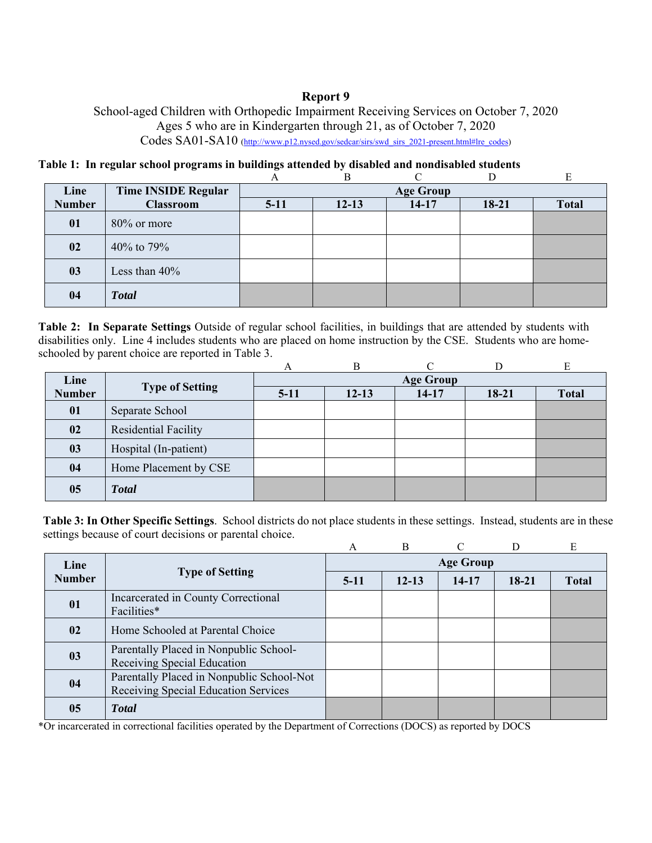## **Report 9**

School-aged Children with Orthopedic Impairment Receiving Services on October 7, 2020 Ages 5 who are in Kindergarten through 21, as of October 7, 2020 Codes SA01-SA10 (http://www.p12.nysed.gov/sedcar/sirs/swd\_sirs\_2021-present.html#lre\_codes)

# **Table 1: In regular school programs in buildings attended by disabled and nondisabled students**

|               |                            |        | В         |                  |         |              |
|---------------|----------------------------|--------|-----------|------------------|---------|--------------|
| Line          | <b>Time INSIDE Regular</b> |        |           | <b>Age Group</b> |         |              |
| <b>Number</b> | <b>Classroom</b>           | $5-11$ | $12 - 13$ | $14 - 17$        | $18-21$ | <b>Total</b> |
| 01            | $80\%$ or more             |        |           |                  |         |              |
| 02            | 40% to 79%                 |        |           |                  |         |              |
| 03            | Less than $40\%$           |        |           |                  |         |              |
| 04            | <b>Total</b>               |        |           |                  |         |              |

**Table 2: In Separate Settings** Outside of regular school facilities, in buildings that are attended by students with disabilities only. Line 4 includes students who are placed on home instruction by the CSE. Students who are homeschooled by parent choice are reported in Table 3.

|               |                        | А                | В         |         |         | E            |
|---------------|------------------------|------------------|-----------|---------|---------|--------------|
| Line          |                        | <b>Age Group</b> |           |         |         |              |
| <b>Number</b> | <b>Type of Setting</b> | $5-11$           | $12 - 13$ | $14-17$ | $18-21$ | <b>Total</b> |
| 01            | Separate School        |                  |           |         |         |              |
| 02            | Residential Facility   |                  |           |         |         |              |
| 03            | Hospital (In-patient)  |                  |           |         |         |              |
| 04            | Home Placement by CSE  |                  |           |         |         |              |
| 05            | <b>Total</b>           |                  |           |         |         |              |

**Table 3: In Other Specific Settings**. School districts do not place students in these settings. Instead, students are in these settings because of court decisions or parental choice.

|               |                                                                                   | A                | B         | $\cap$ |       | E            |  |  |
|---------------|-----------------------------------------------------------------------------------|------------------|-----------|--------|-------|--------------|--|--|
| Line          | <b>Type of Setting</b>                                                            | <b>Age Group</b> |           |        |       |              |  |  |
| <b>Number</b> |                                                                                   | $5-11$           | $12 - 13$ | 14-17  | 18-21 | <b>Total</b> |  |  |
| 01            | Incarcerated in County Correctional<br>Facilities*                                |                  |           |        |       |              |  |  |
| 02            | Home Schooled at Parental Choice                                                  |                  |           |        |       |              |  |  |
| 03            | Parentally Placed in Nonpublic School-<br>Receiving Special Education             |                  |           |        |       |              |  |  |
| 04            | Parentally Placed in Nonpublic School-Not<br>Receiving Special Education Services |                  |           |        |       |              |  |  |
| 05            | <b>Total</b>                                                                      |                  |           |        |       |              |  |  |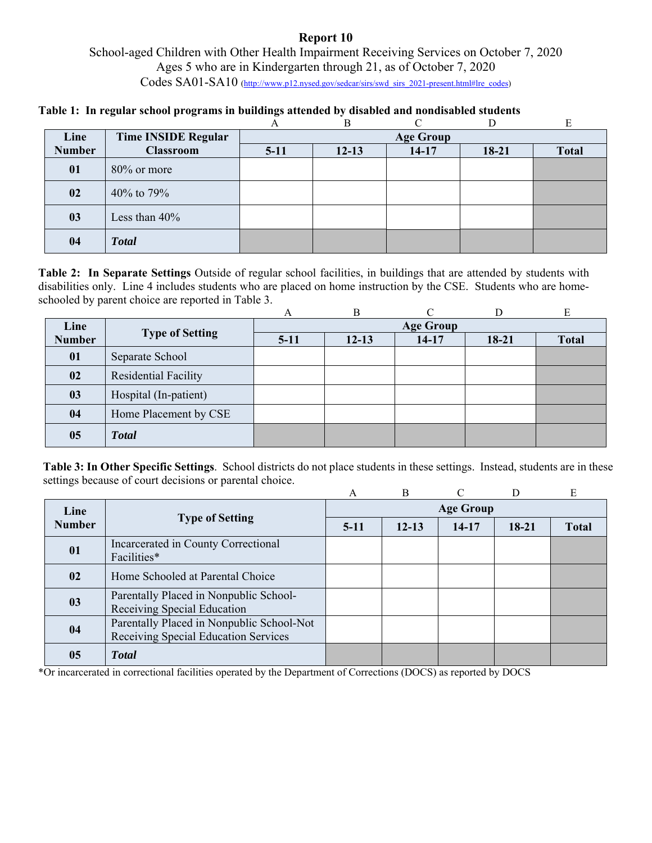## **Report 10**  School-aged Children with Other Health Impairment Receiving Services on October 7, 2020 Ages 5 who are in Kindergarten through 21, as of October 7, 2020 Codes SA01-SA10 (http://www.p12.nysed.gov/sedcar/sirs/swd\_sirs\_2021-present.html#lre\_codes)

### **Table 1: In regular school programs in buildings attended by disabled and nondisabled students**

|               |                            |        | В         |                  |         | Е            |
|---------------|----------------------------|--------|-----------|------------------|---------|--------------|
| Line          | <b>Time INSIDE Regular</b> |        |           | <b>Age Group</b> |         |              |
| <b>Number</b> | <b>Classroom</b>           | $5-11$ | $12 - 13$ | $14 - 17$        | $18-21$ | <b>Total</b> |
| 01            | $80\%$ or more             |        |           |                  |         |              |
| 02            | 40% to 79%                 |        |           |                  |         |              |
| 03            | Less than $40\%$           |        |           |                  |         |              |
| 04            | <b>Total</b>               |        |           |                  |         |              |

**Table 2: In Separate Settings** Outside of regular school facilities, in buildings that are attended by students with disabilities only. Line 4 includes students who are placed on home instruction by the CSE. Students who are homeschooled by parent choice are reported in Table 3.

|               |                        | А                | B         | ⌒       |         | E            |  |
|---------------|------------------------|------------------|-----------|---------|---------|--------------|--|
| Line          |                        | <b>Age Group</b> |           |         |         |              |  |
| <b>Number</b> | <b>Type of Setting</b> | $5-11$           | $12 - 13$ | $14-17$ | $18-21$ | <b>Total</b> |  |
| 01            | Separate School        |                  |           |         |         |              |  |
| 02            | Residential Facility   |                  |           |         |         |              |  |
| 03            | Hospital (In-patient)  |                  |           |         |         |              |  |
| 04            | Home Placement by CSE  |                  |           |         |         |              |  |
| 05            | <b>Total</b>           |                  |           |         |         |              |  |

**Table 3: In Other Specific Settings**. School districts do not place students in these settings. Instead, students are in these settings because of court decisions or parental choice.

|               |                                                                                   | A                | $\overline{B}$ |           |         | E            |  |  |
|---------------|-----------------------------------------------------------------------------------|------------------|----------------|-----------|---------|--------------|--|--|
| Line          | <b>Type of Setting</b>                                                            | <b>Age Group</b> |                |           |         |              |  |  |
| <b>Number</b> |                                                                                   | $5-11$           | $12 - 13$      | $14 - 17$ | $18-21$ | <b>Total</b> |  |  |
| 01            | Incarcerated in County Correctional<br>Facilities*                                |                  |                |           |         |              |  |  |
| 02            | Home Schooled at Parental Choice                                                  |                  |                |           |         |              |  |  |
| 03            | Parentally Placed in Nonpublic School-<br>Receiving Special Education             |                  |                |           |         |              |  |  |
| 04            | Parentally Placed in Nonpublic School-Not<br>Receiving Special Education Services |                  |                |           |         |              |  |  |
| 05            | <b>Total</b>                                                                      |                  |                |           |         |              |  |  |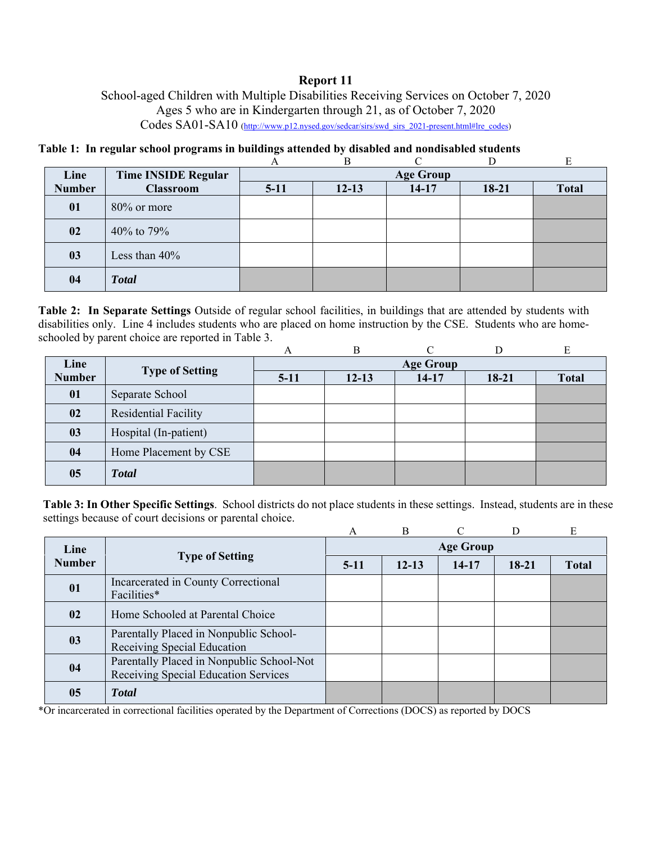## **Report 11**

School-aged Children with Multiple Disabilities Receiving Services on October 7, 2020 Ages 5 who are in Kindergarten through 21, as of October 7, 2020 Codes SA01-SA10 (http://www.p12.nysed.gov/sedcar/sirs/swd\_sirs\_2021-present.html#lre\_codes)

**Table 1: In regular school programs in buildings attended by disabled and nondisabled students** 

|               |                            |        | B         |                  |           | E            |
|---------------|----------------------------|--------|-----------|------------------|-----------|--------------|
| Line          | <b>Time INSIDE Regular</b> |        |           | <b>Age Group</b> |           |              |
| <b>Number</b> | <b>Classroom</b>           | $5-11$ | $12 - 13$ | $14-17$          | $18 - 21$ | <b>Total</b> |
| 01            | $80\%$ or more             |        |           |                  |           |              |
| 02            | 40% to 79%                 |        |           |                  |           |              |
| 03            | Less than $40\%$           |        |           |                  |           |              |
| 04            | <b>Total</b>               |        |           |                  |           |              |

**Table 2: In Separate Settings** Outside of regular school facilities, in buildings that are attended by students with disabilities only. Line 4 includes students who are placed on home instruction by the CSE. Students who are homeschooled by parent choice are reported in Table 3.

|               |                             | A                | B         |         |         | E            |  |
|---------------|-----------------------------|------------------|-----------|---------|---------|--------------|--|
| Line          |                             | <b>Age Group</b> |           |         |         |              |  |
| <b>Number</b> | <b>Type of Setting</b>      | $5-11$           | $12 - 13$ | $14-17$ | $18-21$ | <b>Total</b> |  |
| 01            | Separate School             |                  |           |         |         |              |  |
| 02            | <b>Residential Facility</b> |                  |           |         |         |              |  |
| 03            | Hospital (In-patient)       |                  |           |         |         |              |  |
| 04            | Home Placement by CSE       |                  |           |         |         |              |  |
| 05            | <b>Total</b>                |                  |           |         |         |              |  |

**Table 3: In Other Specific Settings**. School districts do not place students in these settings. Instead, students are in these settings because of court decisions or parental choice.

|               |                                                                                   | A                | $\overline{B}$ | $\cap$ | D       | E            |  |  |
|---------------|-----------------------------------------------------------------------------------|------------------|----------------|--------|---------|--------------|--|--|
| Line          | <b>Type of Setting</b>                                                            | <b>Age Group</b> |                |        |         |              |  |  |
| <b>Number</b> |                                                                                   | $5-11$           | $12 - 13$      | 14-17  | $18-21$ | <b>Total</b> |  |  |
| 01            | Incarcerated in County Correctional<br>Facilities*                                |                  |                |        |         |              |  |  |
| 02            | Home Schooled at Parental Choice                                                  |                  |                |        |         |              |  |  |
| 03            | Parentally Placed in Nonpublic School-<br>Receiving Special Education             |                  |                |        |         |              |  |  |
| 04            | Parentally Placed in Nonpublic School-Not<br>Receiving Special Education Services |                  |                |        |         |              |  |  |
| 05            | <b>T</b> otal                                                                     |                  |                |        |         |              |  |  |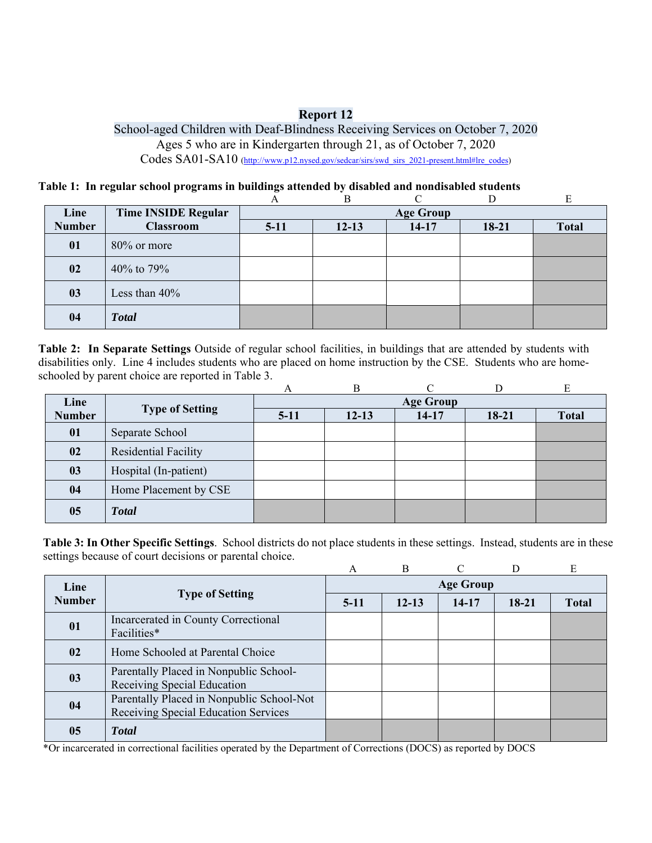## **Report 12**

School-aged Children with Deaf-Blindness Receiving Services on October 7, 2020 Ages 5 who are in Kindergarten through 21, as of October 7, 2020 Codes SA01-SA10 (http://www.p12.nysed.gov/sedcar/sirs/swd\_sirs\_2021-present.html#lre\_codes)

#### **Table 1: In regular school programs in buildings attended by disabled and nondisabled students**

|               |                     |        | B         |                  |         | E            |
|---------------|---------------------|--------|-----------|------------------|---------|--------------|
| Line          | Time INSIDE Regular |        |           | <b>Age Group</b> |         |              |
| <b>Number</b> | <b>Classroom</b>    | $5-11$ | $12 - 13$ | $14 - 17$        | $18-21$ | <b>Total</b> |
| 01            | 80% or more         |        |           |                  |         |              |
| 02            | 40% to 79%          |        |           |                  |         |              |
| 03            | Less than $40\%$    |        |           |                  |         |              |
| 04            | <b>Total</b>        |        |           |                  |         |              |

**Table 2: In Separate Settings** Outside of regular school facilities, in buildings that are attended by students with disabilities only. Line 4 includes students who are placed on home instruction by the CSE. Students who are homeschooled by parent choice are reported in Table 3.

|               |                        | А                | B         |         |         |              |  |  |  |  |  |
|---------------|------------------------|------------------|-----------|---------|---------|--------------|--|--|--|--|--|
| Line          |                        | <b>Age Group</b> |           |         |         |              |  |  |  |  |  |
| <b>Number</b> | <b>Type of Setting</b> | $5-11$           | $12 - 13$ | $14-17$ | $18-21$ | <b>Total</b> |  |  |  |  |  |
| 01            | Separate School        |                  |           |         |         |              |  |  |  |  |  |
| 02            | Residential Facility   |                  |           |         |         |              |  |  |  |  |  |
| 03            | Hospital (In-patient)  |                  |           |         |         |              |  |  |  |  |  |
| 04            | Home Placement by CSE  |                  |           |         |         |              |  |  |  |  |  |
| 05            | <b>Total</b>           |                  |           |         |         |              |  |  |  |  |  |

**Table 3: In Other Specific Settings**. School districts do not place students in these settings. Instead, students are in these settings because of court decisions or parental choice.

|               |                                                                                   | A                | B         |       |         | E            |  |  |  |  |
|---------------|-----------------------------------------------------------------------------------|------------------|-----------|-------|---------|--------------|--|--|--|--|
| Line          |                                                                                   | <b>Age Group</b> |           |       |         |              |  |  |  |  |
| <b>Number</b> | <b>Type of Setting</b>                                                            | $5-11$           | $12 - 13$ | 14-17 | $18-21$ | <b>Total</b> |  |  |  |  |
| 01            | Incarcerated in County Correctional<br>Facilities*                                |                  |           |       |         |              |  |  |  |  |
| 02            | Home Schooled at Parental Choice                                                  |                  |           |       |         |              |  |  |  |  |
| 03            | Parentally Placed in Nonpublic School-<br>Receiving Special Education             |                  |           |       |         |              |  |  |  |  |
| 04            | Parentally Placed in Nonpublic School-Not<br>Receiving Special Education Services |                  |           |       |         |              |  |  |  |  |
| 05            | <b>Total</b>                                                                      |                  |           |       |         |              |  |  |  |  |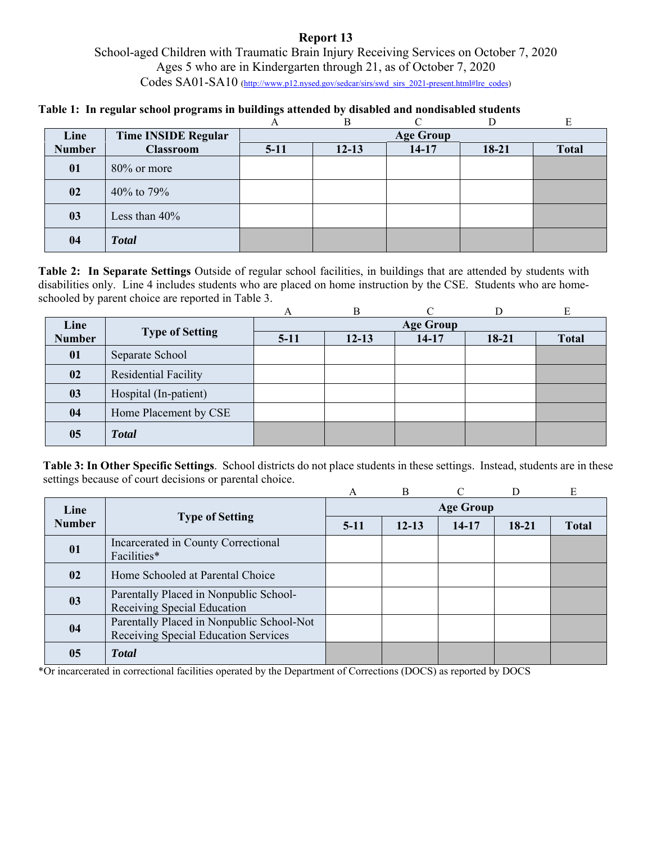# School-aged Children with Traumatic Brain Injury Receiving Services on October 7, 2020 Ages 5 who are in Kindergarten through 21, as of October 7, 2020 Codes SA01-SA10 (http://www.p12.nysed.gov/sedcar/sirs/swd\_sirs\_2021-present.html#lre\_codes)

### **Table 1: In regular school programs in buildings attended by disabled and nondisabled students**

|               |                            | Α                | В         |         |         | E            |  |  |  |  |  |
|---------------|----------------------------|------------------|-----------|---------|---------|--------------|--|--|--|--|--|
| Line          | <b>Time INSIDE Regular</b> | <b>Age Group</b> |           |         |         |              |  |  |  |  |  |
| <b>Number</b> | <b>Classroom</b>           | $5-11$           | $12 - 13$ | $14-17$ | $18-21$ | <b>Total</b> |  |  |  |  |  |
| 01            | $80\%$ or more             |                  |           |         |         |              |  |  |  |  |  |
| 02            | 40% to 79%                 |                  |           |         |         |              |  |  |  |  |  |
| 03            | Less than 40%              |                  |           |         |         |              |  |  |  |  |  |
| 04            | <b>Total</b>               |                  |           |         |         |              |  |  |  |  |  |

**Table 2: In Separate Settings** Outside of regular school facilities, in buildings that are attended by students with disabilities only. Line 4 includes students who are placed on home instruction by the CSE. Students who are homeschooled by parent choice are reported in Table 3.

|               |                        | А      | B         | ⌒                |         | E            |
|---------------|------------------------|--------|-----------|------------------|---------|--------------|
| Line          |                        |        |           | <b>Age Group</b> |         |              |
| <b>Number</b> | <b>Type of Setting</b> | $5-11$ | $12 - 13$ | $14-17$          | $18-21$ | <b>Total</b> |
| 01            | Separate School        |        |           |                  |         |              |
| 02            | Residential Facility   |        |           |                  |         |              |
| 03            | Hospital (In-patient)  |        |           |                  |         |              |
| 04            | Home Placement by CSE  |        |           |                  |         |              |
| 05            | <b>Total</b>           |        |           |                  |         |              |

**Table 3: In Other Specific Settings**. School districts do not place students in these settings. Instead, students are in these settings because of court decisions or parental choice.

|               |                                                                                   | А                | B         |           |         | E            |  |  |  |  |
|---------------|-----------------------------------------------------------------------------------|------------------|-----------|-----------|---------|--------------|--|--|--|--|
| Line          |                                                                                   | <b>Age Group</b> |           |           |         |              |  |  |  |  |
| <b>Number</b> | <b>Type of Setting</b>                                                            | $5-11$           | $12 - 13$ | $14 - 17$ | $18-21$ | <b>Total</b> |  |  |  |  |
| 01            | Incarcerated in County Correctional<br>Facilities*                                |                  |           |           |         |              |  |  |  |  |
| 02            | Home Schooled at Parental Choice                                                  |                  |           |           |         |              |  |  |  |  |
| 03            | Parentally Placed in Nonpublic School-<br>Receiving Special Education             |                  |           |           |         |              |  |  |  |  |
| 04            | Parentally Placed in Nonpublic School-Not<br>Receiving Special Education Services |                  |           |           |         |              |  |  |  |  |
| 05            | <b>Total</b>                                                                      |                  |           |           |         |              |  |  |  |  |

\*Or incarcerated in correctional facilities operated by the Department of Corrections (DOCS) as reported by DOCS

### **Report 13**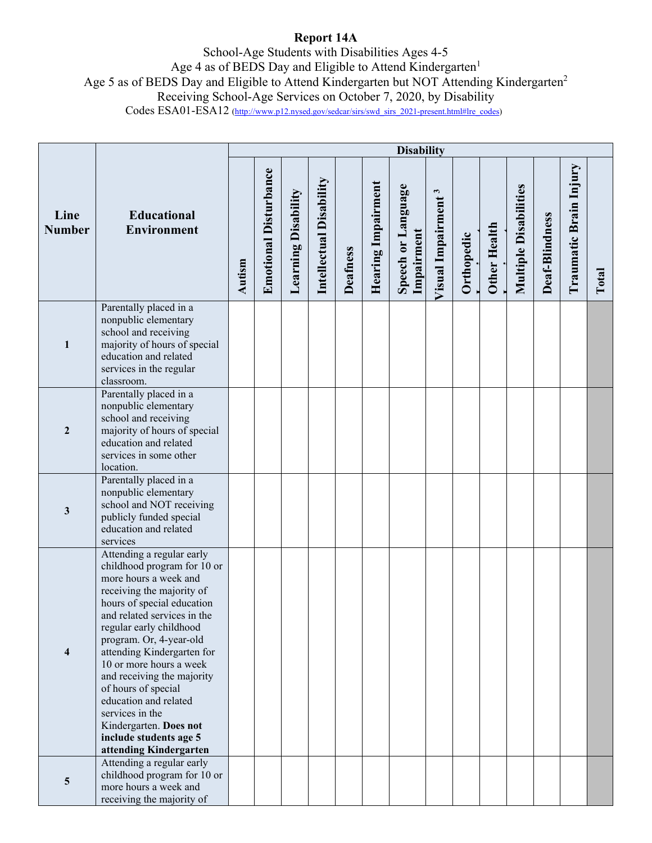# **Report 14A**

School-Age Students with Disabilities Ages 4-5 Age 4 as of BEDS Day and Eligible to Attend Kindergarten<sup>1</sup> Age 5 as of BEDS Day and Eligible to Attend Kindergarten but NOT Attending Kindergarten<sup>2</sup> Receiving School-Age Services on October 7, 2020, by Disability Codes ESA01-ESA12 (http://www.p12.nysed.gov/sedcar/sirs/swd\_sirs\_2021-present.html#lre\_codes)

|                       |                                                                                                                                                                                                                                                                                                                                                                                                                                                                           |        |                              |                     |                         |                 |                    | <b>Disability</b>                |                                |            |                     |                              |                |                        |       |
|-----------------------|---------------------------------------------------------------------------------------------------------------------------------------------------------------------------------------------------------------------------------------------------------------------------------------------------------------------------------------------------------------------------------------------------------------------------------------------------------------------------|--------|------------------------------|---------------------|-------------------------|-----------------|--------------------|----------------------------------|--------------------------------|------------|---------------------|------------------------------|----------------|------------------------|-------|
| Line<br><b>Number</b> | <b>Educational</b><br><b>Environment</b>                                                                                                                                                                                                                                                                                                                                                                                                                                  | Autism | <b>Emotional Disturbance</b> | Learning Disability | Intellectual Disability | <b>Deafness</b> | Hearing Impairment | Speech or Language<br>Impairment | Visual Impairment <sup>3</sup> | Orthopedic | <b>Other Health</b> | <b>Multiple Disabilities</b> | Deaf-Blindness | Traumatic Brain Injury | Total |
| 1                     | Parentally placed in a<br>nonpublic elementary<br>school and receiving<br>majority of hours of special<br>education and related<br>services in the regular<br>classroom.                                                                                                                                                                                                                                                                                                  |        |                              |                     |                         |                 |                    |                                  |                                |            |                     |                              |                |                        |       |
| $\boldsymbol{2}$      | Parentally placed in a<br>nonpublic elementary<br>school and receiving<br>majority of hours of special<br>education and related<br>services in some other<br>location.                                                                                                                                                                                                                                                                                                    |        |                              |                     |                         |                 |                    |                                  |                                |            |                     |                              |                |                        |       |
| $\mathbf{3}$          | Parentally placed in a<br>nonpublic elementary<br>school and NOT receiving<br>publicly funded special<br>education and related<br>services                                                                                                                                                                                                                                                                                                                                |        |                              |                     |                         |                 |                    |                                  |                                |            |                     |                              |                |                        |       |
| 4                     | Attending a regular early<br>childhood program for 10 or<br>more hours a week and<br>receiving the majority of<br>hours of special education<br>and related services in the<br>regular early childhood<br>program. Or, 4-year-old<br>attending Kindergarten for<br>10 or more hours a week<br>and receiving the majority<br>of hours of special<br>education and related<br>services in the<br>Kindergarten. Does not<br>include students age 5<br>attending Kindergarten |        |                              |                     |                         |                 |                    |                                  |                                |            |                     |                              |                |                        |       |
| 5                     | Attending a regular early<br>childhood program for 10 or<br>more hours a week and<br>receiving the majority of                                                                                                                                                                                                                                                                                                                                                            |        |                              |                     |                         |                 |                    |                                  |                                |            |                     |                              |                |                        |       |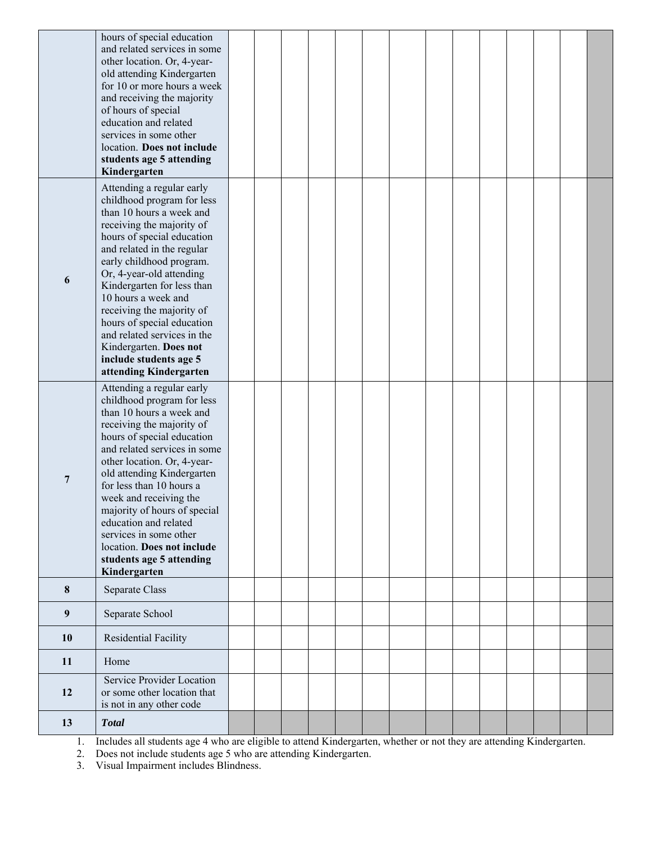|                  | hours of special education<br>and related services in some<br>other location. Or, 4-year-<br>old attending Kindergarten<br>for 10 or more hours a week<br>and receiving the majority<br>of hours of special<br>education and related<br>services in some other<br>location. Does not include<br>students age 5 attending<br>Kindergarten                                                                                                                          |  |  |  |  |  |  |  |
|------------------|-------------------------------------------------------------------------------------------------------------------------------------------------------------------------------------------------------------------------------------------------------------------------------------------------------------------------------------------------------------------------------------------------------------------------------------------------------------------|--|--|--|--|--|--|--|
| 6                | Attending a regular early<br>childhood program for less<br>than 10 hours a week and<br>receiving the majority of<br>hours of special education<br>and related in the regular<br>early childhood program.<br>Or, 4-year-old attending<br>Kindergarten for less than<br>10 hours a week and<br>receiving the majority of<br>hours of special education<br>and related services in the<br>Kindergarten. Does not<br>include students age 5<br>attending Kindergarten |  |  |  |  |  |  |  |
| 7                | Attending a regular early<br>childhood program for less<br>than 10 hours a week and<br>receiving the majority of<br>hours of special education<br>and related services in some<br>other location. Or, 4-year-<br>old attending Kindergarten<br>for less than 10 hours a<br>week and receiving the<br>majority of hours of special<br>education and related<br>services in some other<br>location. Does not include<br>students age 5 attending<br>Kindergarten    |  |  |  |  |  |  |  |
| 8                | Separate Class                                                                                                                                                                                                                                                                                                                                                                                                                                                    |  |  |  |  |  |  |  |
| $\boldsymbol{9}$ | Separate School                                                                                                                                                                                                                                                                                                                                                                                                                                                   |  |  |  |  |  |  |  |
| 10               | Residential Facility                                                                                                                                                                                                                                                                                                                                                                                                                                              |  |  |  |  |  |  |  |
| 11               | Home                                                                                                                                                                                                                                                                                                                                                                                                                                                              |  |  |  |  |  |  |  |
| 12               | Service Provider Location<br>or some other location that<br>is not in any other code                                                                                                                                                                                                                                                                                                                                                                              |  |  |  |  |  |  |  |
| 13               | <b>Total</b>                                                                                                                                                                                                                                                                                                                                                                                                                                                      |  |  |  |  |  |  |  |

1. Includes all students age 4 who are eligible to attend Kindergarten, whether or not they are attending Kindergarten.

2. Does not include students age 5 who are attending Kindergarten.

3. Visual Impairment includes Blindness.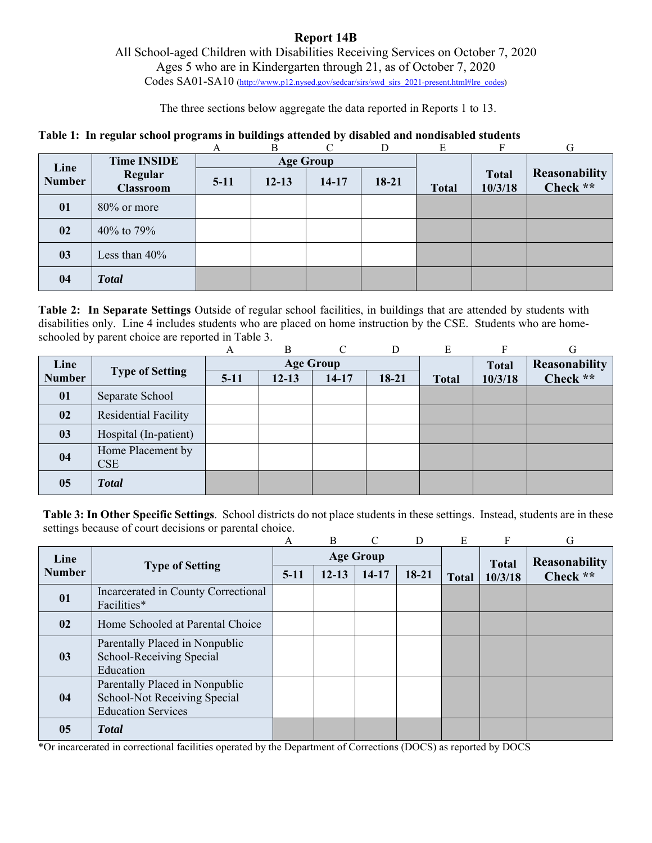### **Report 14B**  All School-aged Children with Disabilities Receiving Services on October 7, 2020 Ages 5 who are in Kindergarten through 21, as of October 7, 2020 Codes SA01-SA10 (http://www.p12.nysed.gov/sedcar/sirs/swd\_sirs\_2021-present.html#lre\_codes)

The three sections below aggregate the data reported in Reports 1 to 13.

### **Table 1: In regular school programs in buildings attended by disabled and nondisabled students**

|               |                             | Α      | B         | C                | D       | E            | F                       | G                         |
|---------------|-----------------------------|--------|-----------|------------------|---------|--------------|-------------------------|---------------------------|
| Line          | <b>Time INSIDE</b>          |        |           | <b>Age Group</b> |         |              |                         |                           |
| <b>Number</b> | Regular<br><b>Classroom</b> | $5-11$ | $12 - 13$ | $14 - 17$        | $18-21$ | <b>Total</b> | <b>Total</b><br>10/3/18 | Reasonability<br>Check ** |
| 01            | $80\%$ or more              |        |           |                  |         |              |                         |                           |
| 02            | 40% to 79%                  |        |           |                  |         |              |                         |                           |
| 03            | Less than $40\%$            |        |           |                  |         |              |                         |                           |
| 04            | <b>Total</b>                |        |           |                  |         |              |                         |                           |

**Table 2: In Separate Settings** Outside of regular school facilities, in buildings that are attended by students with disabilities only. Line 4 includes students who are placed on home instruction by the CSE. Students who are homeschooled by parent choice are reported in Table 3.

|               |                        | А      | B                | $\Gamma$ | D       | E            | F            | G             |
|---------------|------------------------|--------|------------------|----------|---------|--------------|--------------|---------------|
| Line          |                        |        | <b>Age Group</b> |          |         |              | <b>Total</b> | Reasonability |
| <b>Number</b> | <b>Type of Setting</b> | $5-11$ | $12 - 13$        | $14-17$  | $18-21$ | <b>Total</b> | 10/3/18      | Check **      |
| 01            | Separate School        |        |                  |          |         |              |              |               |
| 02            | Residential Facility   |        |                  |          |         |              |              |               |
| 03            | Hospital (In-patient)  |        |                  |          |         |              |              |               |
| 04            | Home Placement by      |        |                  |          |         |              |              |               |
|               | <b>CSE</b>             |        |                  |          |         |              |              |               |
| 05            | <b>Total</b>           |        |                  |          |         |              |              |               |

**Table 3: In Other Specific Settings**. School districts do not place students in these settings. Instead, students are in these settings because of court decisions or parental choice.

|               |                                                                                             | A      | B         | $\subset$        | D     | E            |              | G                    |
|---------------|---------------------------------------------------------------------------------------------|--------|-----------|------------------|-------|--------------|--------------|----------------------|
| Line          |                                                                                             |        |           | <b>Age Group</b> |       |              | <b>Total</b> | <b>Reasonability</b> |
| <b>Number</b> | <b>Type of Setting</b>                                                                      | $5-11$ | $12 - 13$ | 14-17            | 18-21 | <b>Total</b> | 10/3/18      | Check **             |
| 01            | Incarcerated in County Correctional<br>Facilities*                                          |        |           |                  |       |              |              |                      |
| 02            | Home Schooled at Parental Choice                                                            |        |           |                  |       |              |              |                      |
| 03            | Parentally Placed in Nonpublic<br>School-Receiving Special<br>Education                     |        |           |                  |       |              |              |                      |
| 04            | Parentally Placed in Nonpublic<br>School-Not Receiving Special<br><b>Education Services</b> |        |           |                  |       |              |              |                      |
| 05            | <b>T</b> otal                                                                               |        |           |                  |       |              |              |                      |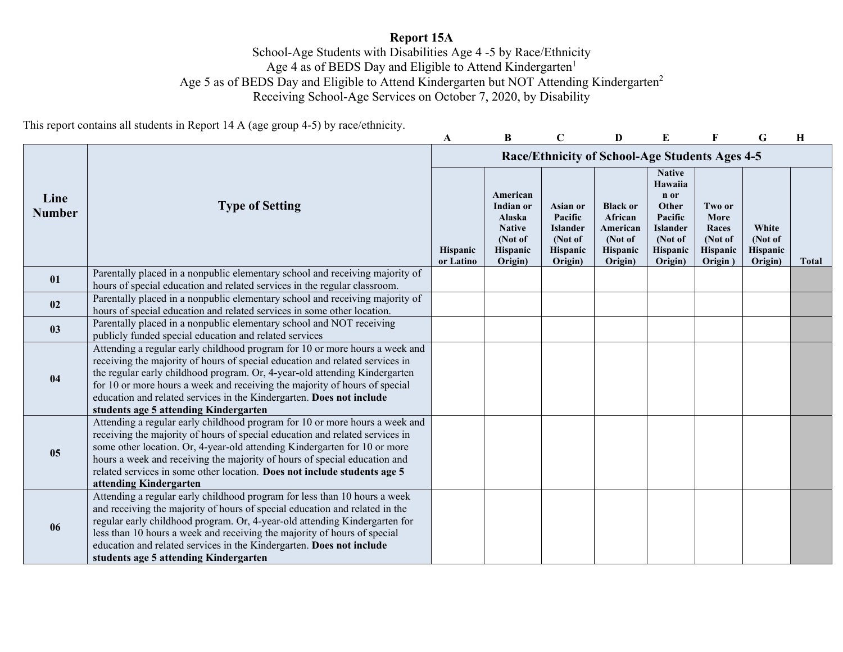# **Report 15A**

School-Age Students with Disabilities Age 4 -5 by Race/Ethnicity Age 4 as of BEDS Day and Eligible to Attend Kindergarten<sup>1</sup> Age 5 as of BEDS Day and Eligible to Attend Kindergarten but NOT Attending Kindergarten<sup>2</sup> Receiving School-Age Services on October 7, 2020, by Disability

This report contains all students in Report 14 A (age group 4-5) by race/ethnicity.

|                       |                                                                                                                                                                                                                                                                                                                                                                                                                                          | A                            | B                                                                                  |                                                                                 | D                                                                        |                                                                                                           |                                                           | G                                       | Н            |
|-----------------------|------------------------------------------------------------------------------------------------------------------------------------------------------------------------------------------------------------------------------------------------------------------------------------------------------------------------------------------------------------------------------------------------------------------------------------------|------------------------------|------------------------------------------------------------------------------------|---------------------------------------------------------------------------------|--------------------------------------------------------------------------|-----------------------------------------------------------------------------------------------------------|-----------------------------------------------------------|-----------------------------------------|--------------|
|                       |                                                                                                                                                                                                                                                                                                                                                                                                                                          |                              |                                                                                    |                                                                                 | <b>Race/Ethnicity of School-Age Students Ages 4-5</b>                    |                                                                                                           |                                                           |                                         |              |
| Line<br><b>Number</b> | <b>Type of Setting</b>                                                                                                                                                                                                                                                                                                                                                                                                                   | <b>Hispanic</b><br>or Latino | American<br>Indian or<br>Alaska<br><b>Native</b><br>(Not of<br>Hispanic<br>Origin) | <b>Asian or</b><br>Pacific<br><b>Islander</b><br>(Not of<br>Hispanic<br>Origin) | <b>Black or</b><br>African<br>American<br>(Not of<br>Hispanic<br>Origin) | <b>Native</b><br>Hawaiia<br>n or<br>Other<br>Pacific<br><b>Islander</b><br>(Not of<br>Hispanic<br>Origin) | Two or<br>More<br>Races<br>(Not of<br>Hispanic<br>Origin) | White<br>(Not of<br>Hispanic<br>Origin) | <b>Total</b> |
| 01                    | Parentally placed in a nonpublic elementary school and receiving majority of<br>hours of special education and related services in the regular classroom.                                                                                                                                                                                                                                                                                |                              |                                                                                    |                                                                                 |                                                                          |                                                                                                           |                                                           |                                         |              |
| 02                    | Parentally placed in a nonpublic elementary school and receiving majority of<br>hours of special education and related services in some other location.                                                                                                                                                                                                                                                                                  |                              |                                                                                    |                                                                                 |                                                                          |                                                                                                           |                                                           |                                         |              |
| 03                    | Parentally placed in a nonpublic elementary school and NOT receiving<br>publicly funded special education and related services                                                                                                                                                                                                                                                                                                           |                              |                                                                                    |                                                                                 |                                                                          |                                                                                                           |                                                           |                                         |              |
| 04                    | Attending a regular early childhood program for 10 or more hours a week and<br>receiving the majority of hours of special education and related services in<br>the regular early childhood program. Or, 4-year-old attending Kindergarten<br>for 10 or more hours a week and receiving the majority of hours of special<br>education and related services in the Kindergarten. Does not include<br>students age 5 attending Kindergarten |                              |                                                                                    |                                                                                 |                                                                          |                                                                                                           |                                                           |                                         |              |
| 05                    | Attending a regular early childhood program for 10 or more hours a week and<br>receiving the majority of hours of special education and related services in<br>some other location. Or, 4-year-old attending Kindergarten for 10 or more<br>hours a week and receiving the majority of hours of special education and<br>related services in some other location. Does not include students age 5<br>attending Kindergarten              |                              |                                                                                    |                                                                                 |                                                                          |                                                                                                           |                                                           |                                         |              |
| 06                    | Attending a regular early childhood program for less than 10 hours a week<br>and receiving the majority of hours of special education and related in the<br>regular early childhood program. Or, 4-year-old attending Kindergarten for<br>less than 10 hours a week and receiving the majority of hours of special<br>education and related services in the Kindergarten. Does not include<br>students age 5 attending Kindergarten      |                              |                                                                                    |                                                                                 |                                                                          |                                                                                                           |                                                           |                                         |              |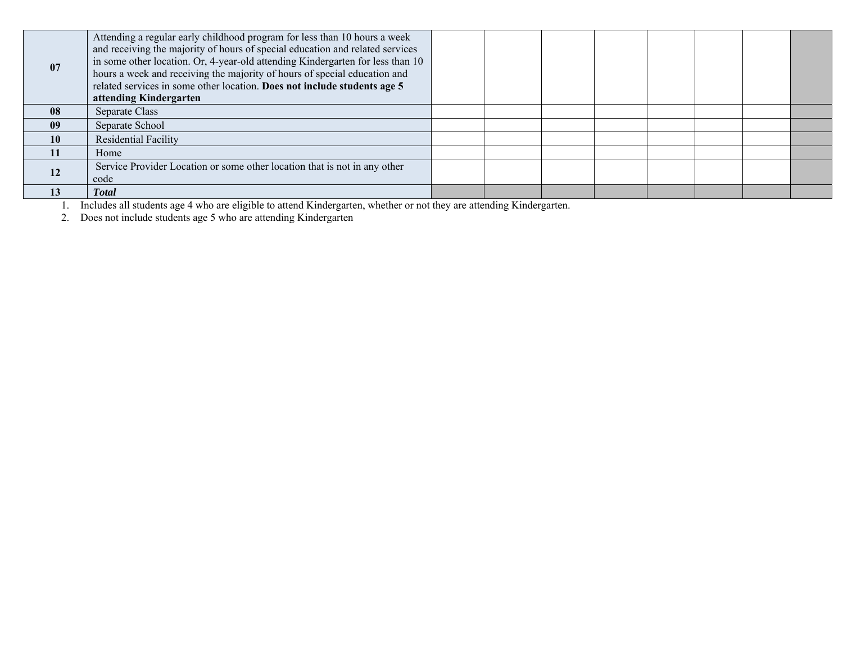| 07        | Attending a regular early childhood program for less than 10 hours a week<br>and receiving the majority of hours of special education and related services<br>in some other location. Or, 4-year-old attending Kindergarten for less than 10<br>hours a week and receiving the majority of hours of special education and<br>related services in some other location. Does not include students age 5<br>attending Kindergarten |  |  |  |  |
|-----------|---------------------------------------------------------------------------------------------------------------------------------------------------------------------------------------------------------------------------------------------------------------------------------------------------------------------------------------------------------------------------------------------------------------------------------|--|--|--|--|
| 08        | Separate Class                                                                                                                                                                                                                                                                                                                                                                                                                  |  |  |  |  |
| 09        | Separate School                                                                                                                                                                                                                                                                                                                                                                                                                 |  |  |  |  |
| 10        | Residential Facility                                                                                                                                                                                                                                                                                                                                                                                                            |  |  |  |  |
| <b>11</b> | Home                                                                                                                                                                                                                                                                                                                                                                                                                            |  |  |  |  |
| <b>12</b> | Service Provider Location or some other location that is not in any other<br>code                                                                                                                                                                                                                                                                                                                                               |  |  |  |  |
| 13        | <b>Total</b>                                                                                                                                                                                                                                                                                                                                                                                                                    |  |  |  |  |

1. Includes all students age 4 who are eligible to attend Kindergarten, whether or not they are attending Kindergarten.

2. Does not include students age 5 who are attending Kindergarten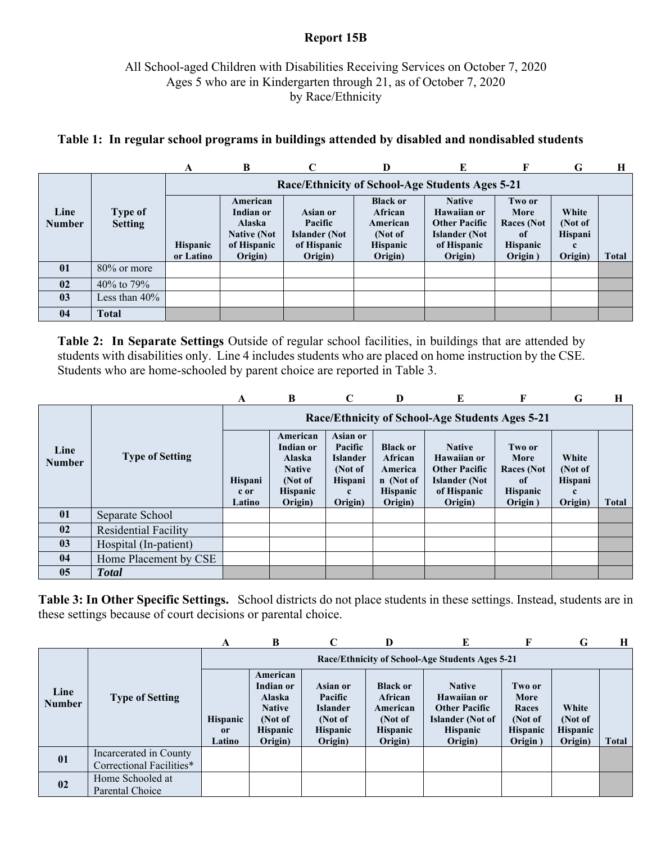## **Report 15B**

# All School-aged Children with Disabilities Receiving Services on October 7, 2020 Ages 5 who are in Kindergarten through 21, as of October 7, 2020 by Race/Ethnicity

|                       |                                  | A                            | B                                                                                      | C                                                                            | D                                                                               | Е                                                                                                      | F                                                                        | G                                                     | Н            |  |  |  |  |
|-----------------------|----------------------------------|------------------------------|----------------------------------------------------------------------------------------|------------------------------------------------------------------------------|---------------------------------------------------------------------------------|--------------------------------------------------------------------------------------------------------|--------------------------------------------------------------------------|-------------------------------------------------------|--------------|--|--|--|--|
|                       |                                  |                              | Race/Ethnicity of School-Age Students Ages 5-21                                        |                                                                              |                                                                                 |                                                                                                        |                                                                          |                                                       |              |  |  |  |  |
| Line<br><b>Number</b> | <b>Type of</b><br><b>Setting</b> | <b>Hispanic</b><br>or Latino | American<br>Indian or<br><b>Alaska</b><br><b>Native (Not</b><br>of Hispanic<br>Origin) | <b>Asian or</b><br>Pacific<br><b>Islander</b> (Not<br>of Hispanic<br>Origin) | <b>Black or</b><br>African<br>American<br>(Not of<br><b>Hispanic</b><br>Origin) | <b>Native</b><br>Hawaiian or<br><b>Other Pacific</b><br><b>Islander</b> (Not<br>of Hispanic<br>Origin) | Two or<br>More<br><b>Races</b> (Not<br>-of<br><b>Hispanic</b><br>Origin) | White<br>(Not of<br>Hispani<br>$\mathbf c$<br>Origin) | <b>Total</b> |  |  |  |  |
| 01                    | 80% or more                      |                              |                                                                                        |                                                                              |                                                                                 |                                                                                                        |                                                                          |                                                       |              |  |  |  |  |
| 02                    | 40% to 79%                       |                              |                                                                                        |                                                                              |                                                                                 |                                                                                                        |                                                                          |                                                       |              |  |  |  |  |
| 03                    | Less than $40\%$                 |                              |                                                                                        |                                                                              |                                                                                 |                                                                                                        |                                                                          |                                                       |              |  |  |  |  |
| 04                    | Total                            |                              |                                                                                        |                                                                              |                                                                                 |                                                                                                        |                                                                          |                                                       |              |  |  |  |  |

## **Table 1: In regular school programs in buildings attended by disabled and nondisabled students**

**Table 2: In Separate Settings** Outside of regular school facilities, in buildings that are attended by students with disabilities only. Line 4 includes students who are placed on home instruction by the CSE. Students who are home-schooled by parent choice are reported in Table 3.

|                       |                             | A                                               | B                                                                                                | C                                                                            | D                                                                                | E                                                                                                      | F                                                                                  | G                                                            | Н            |  |  |
|-----------------------|-----------------------------|-------------------------------------------------|--------------------------------------------------------------------------------------------------|------------------------------------------------------------------------------|----------------------------------------------------------------------------------|--------------------------------------------------------------------------------------------------------|------------------------------------------------------------------------------------|--------------------------------------------------------------|--------------|--|--|
|                       |                             | Race/Ethnicity of School-Age Students Ages 5-21 |                                                                                                  |                                                                              |                                                                                  |                                                                                                        |                                                                                    |                                                              |              |  |  |
| Line<br><b>Number</b> | <b>Type of Setting</b>      | Hispani<br>c or<br>Latino                       | American<br>Indian or<br><b>Alaska</b><br><b>Native</b><br>(Not of<br><b>Hispanic</b><br>Origin) | Asian or<br>Pacific<br><b>Islander</b><br>(Not of<br>Hispani<br>c<br>Origin) | <b>Black or</b><br>African<br>America<br>n (Not of<br><b>Hispanic</b><br>Origin) | <b>Native</b><br>Hawaiian or<br><b>Other Pacific</b><br><b>Islander</b> (Not<br>of Hispanic<br>Origin) | Two or<br>More<br><b>Races</b> (Not<br><sup>of</sup><br><b>Hispanic</b><br>Origin) | White<br>(Not of<br><b>Hispani</b><br>$\mathbf c$<br>Origin) | <b>Total</b> |  |  |
| 01                    | Separate School             |                                                 |                                                                                                  |                                                                              |                                                                                  |                                                                                                        |                                                                                    |                                                              |              |  |  |
| 02                    | <b>Residential Facility</b> |                                                 |                                                                                                  |                                                                              |                                                                                  |                                                                                                        |                                                                                    |                                                              |              |  |  |
| 0 <sub>3</sub>        | Hospital (In-patient)       |                                                 |                                                                                                  |                                                                              |                                                                                  |                                                                                                        |                                                                                    |                                                              |              |  |  |
| 04                    | Home Placement by CSE       |                                                 |                                                                                                  |                                                                              |                                                                                  |                                                                                                        |                                                                                    |                                                              |              |  |  |
| 0 <sub>5</sub>        | <b>Total</b>                |                                                 |                                                                                                  |                                                                              |                                                                                  |                                                                                                        |                                                                                    |                                                              |              |  |  |

**Table 3: In Other Specific Settings.** School districts do not place students in these settings. Instead, students are in these settings because of court decisions or parental choice.

|                       |                                                    | A                               | B                                                                                                |                                                                                        | D                                                                               | Е                                                                                                             | F                                                                | G                                              | H     |  |  |
|-----------------------|----------------------------------------------------|---------------------------------|--------------------------------------------------------------------------------------------------|----------------------------------------------------------------------------------------|---------------------------------------------------------------------------------|---------------------------------------------------------------------------------------------------------------|------------------------------------------------------------------|------------------------------------------------|-------|--|--|
|                       | <b>Type of Setting</b>                             |                                 | Race/Ethnicity of School-Age Students Ages 5-21                                                  |                                                                                        |                                                                                 |                                                                                                               |                                                                  |                                                |       |  |  |
| Line<br><b>Number</b> |                                                    | <b>Hispanic</b><br>or<br>Latino | American<br>Indian or<br><b>Alaska</b><br><b>Native</b><br>(Not of<br><b>Hispanic</b><br>Origin) | <b>Asian or</b><br>Pacific<br><b>Islander</b><br>(Not of<br><b>Hispanic</b><br>Origin) | <b>Black or</b><br>African<br>American<br>(Not of<br><b>Hispanic</b><br>Origin) | <b>Native</b><br>Hawaiian or<br><b>Other Pacific</b><br><b>Islander</b> (Not of<br><b>Hispanic</b><br>Origin) | Two or<br>More<br>Races<br>(Not of<br><b>Hispanic</b><br>Origin) | White<br>(Not of<br><b>Hispanic</b><br>Origin) | Total |  |  |
| 01                    | Incarcerated in County<br>Correctional Facilities* |                                 |                                                                                                  |                                                                                        |                                                                                 |                                                                                                               |                                                                  |                                                |       |  |  |
| 02                    | Home Schooled at<br>Parental Choice                |                                 |                                                                                                  |                                                                                        |                                                                                 |                                                                                                               |                                                                  |                                                |       |  |  |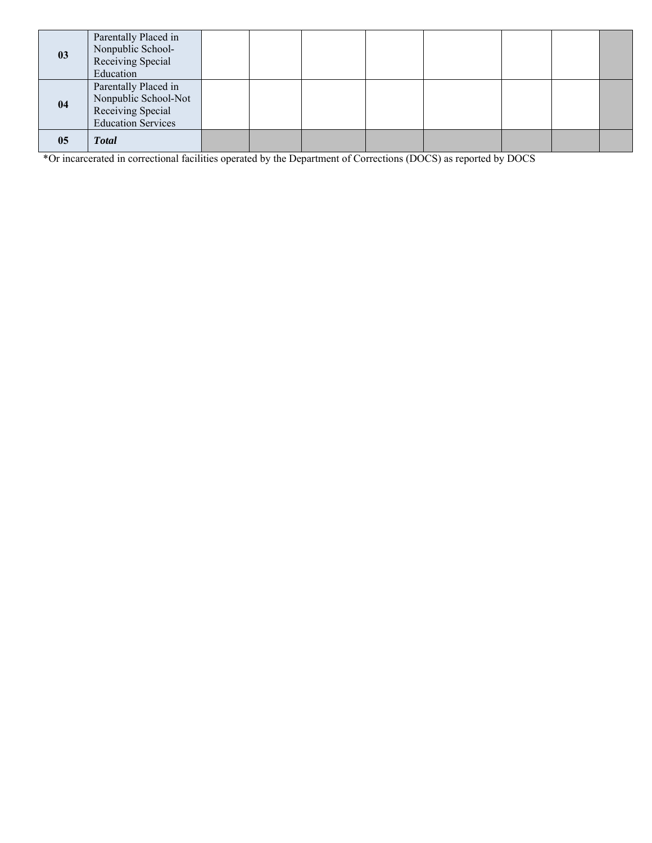| 03 | Parentally Placed in<br>Nonpublic School-<br>Receiving Special<br>Education                    |  |  |  |  |
|----|------------------------------------------------------------------------------------------------|--|--|--|--|
| 04 | Parentally Placed in<br>Nonpublic School-Not<br>Receiving Special<br><b>Education Services</b> |  |  |  |  |
| 05 | <b>Total</b>                                                                                   |  |  |  |  |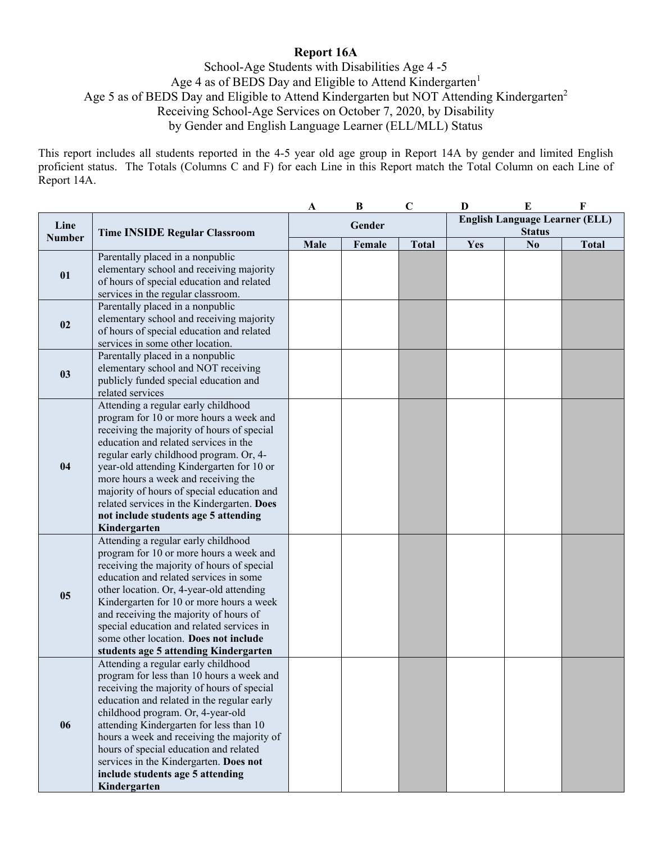# **Report 16A**

School-Age Students with Disabilities Age 4 -5 Age 4 as of BEDS Day and Eligible to Attend Kindergarten<sup>1</sup> Age 5 as of BEDS Day and Eligible to Attend Kindergarten but NOT Attending Kindergarten<sup>2</sup> Receiving School-Age Services on October 7, 2020, by Disability by Gender and English Language Learner (ELL/MLL) Status

This report includes all students reported in the 4-5 year old age group in Report 14A by gender and limited English proficient status. The Totals (Columns C and F) for each Line in this Report match the Total Column on each Line of Report 14A.

|                       |                                                                                                                                                                                                                                                                                                                                                                                                                                                          | A    | $\bf{B}$ | $\mathbf C$  | D   | ${\bf E}$                                              | F            |
|-----------------------|----------------------------------------------------------------------------------------------------------------------------------------------------------------------------------------------------------------------------------------------------------------------------------------------------------------------------------------------------------------------------------------------------------------------------------------------------------|------|----------|--------------|-----|--------------------------------------------------------|--------------|
| Line<br><b>Number</b> | <b>Time INSIDE Regular Classroom</b>                                                                                                                                                                                                                                                                                                                                                                                                                     |      | Gender   |              |     | <b>English Language Learner (ELL)</b><br><b>Status</b> |              |
|                       |                                                                                                                                                                                                                                                                                                                                                                                                                                                          | Male | Female   | <b>Total</b> | Yes | N <sub>0</sub>                                         | <b>Total</b> |
| 01                    | Parentally placed in a nonpublic<br>elementary school and receiving majority<br>of hours of special education and related<br>services in the regular classroom.                                                                                                                                                                                                                                                                                          |      |          |              |     |                                                        |              |
| 02                    | Parentally placed in a nonpublic<br>elementary school and receiving majority<br>of hours of special education and related<br>services in some other location.                                                                                                                                                                                                                                                                                            |      |          |              |     |                                                        |              |
| 03                    | Parentally placed in a nonpublic<br>elementary school and NOT receiving<br>publicly funded special education and<br>related services                                                                                                                                                                                                                                                                                                                     |      |          |              |     |                                                        |              |
| 04                    | Attending a regular early childhood<br>program for 10 or more hours a week and<br>receiving the majority of hours of special<br>education and related services in the<br>regular early childhood program. Or, 4-<br>year-old attending Kindergarten for 10 or<br>more hours a week and receiving the<br>majority of hours of special education and<br>related services in the Kindergarten. Does<br>not include students age 5 attending<br>Kindergarten |      |          |              |     |                                                        |              |
| 0 <sub>5</sub>        | Attending a regular early childhood<br>program for 10 or more hours a week and<br>receiving the majority of hours of special<br>education and related services in some<br>other location. Or, 4-year-old attending<br>Kindergarten for 10 or more hours a week<br>and receiving the majority of hours of<br>special education and related services in<br>some other location. Does not include<br>students age 5 attending Kindergarten                  |      |          |              |     |                                                        |              |
| 06                    | Attending a regular early childhood<br>program for less than 10 hours a week and<br>receiving the majority of hours of special<br>education and related in the regular early<br>childhood program. Or, 4-year-old<br>attending Kindergarten for less than 10<br>hours a week and receiving the majority of<br>hours of special education and related<br>services in the Kindergarten. Does not<br>include students age 5 attending<br>Kindergarten       |      |          |              |     |                                                        |              |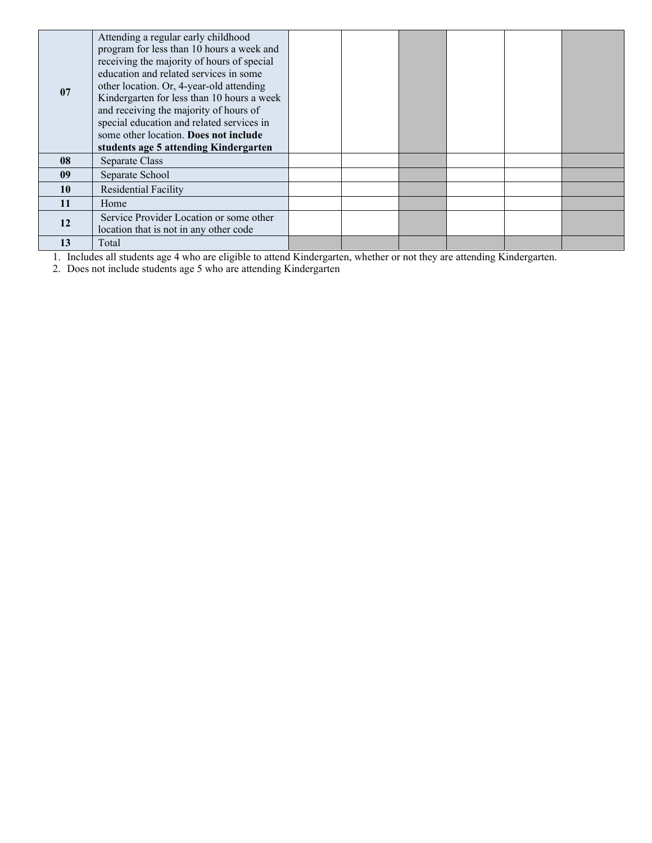|           | Attending a regular early childhood        |  |  |  |
|-----------|--------------------------------------------|--|--|--|
|           | program for less than 10 hours a week and  |  |  |  |
|           | receiving the majority of hours of special |  |  |  |
|           | education and related services in some     |  |  |  |
| 07        | other location. Or, 4-year-old attending   |  |  |  |
|           | Kindergarten for less than 10 hours a week |  |  |  |
|           | and receiving the majority of hours of     |  |  |  |
|           | special education and related services in  |  |  |  |
|           | some other location. Does not include      |  |  |  |
|           | students age 5 attending Kindergarten      |  |  |  |
| 08        | Separate Class                             |  |  |  |
| 09        | Separate School                            |  |  |  |
| <b>10</b> | Residential Facility                       |  |  |  |
| 11        | Home                                       |  |  |  |
|           | Service Provider Location or some other    |  |  |  |
| 12        | location that is not in any other code     |  |  |  |
| 13        | Total                                      |  |  |  |

1. Includes all students age 4 who are eligible to attend Kindergarten, whether or not they are attending Kindergarten.

2. Does not include students age 5 who are attending Kindergarten